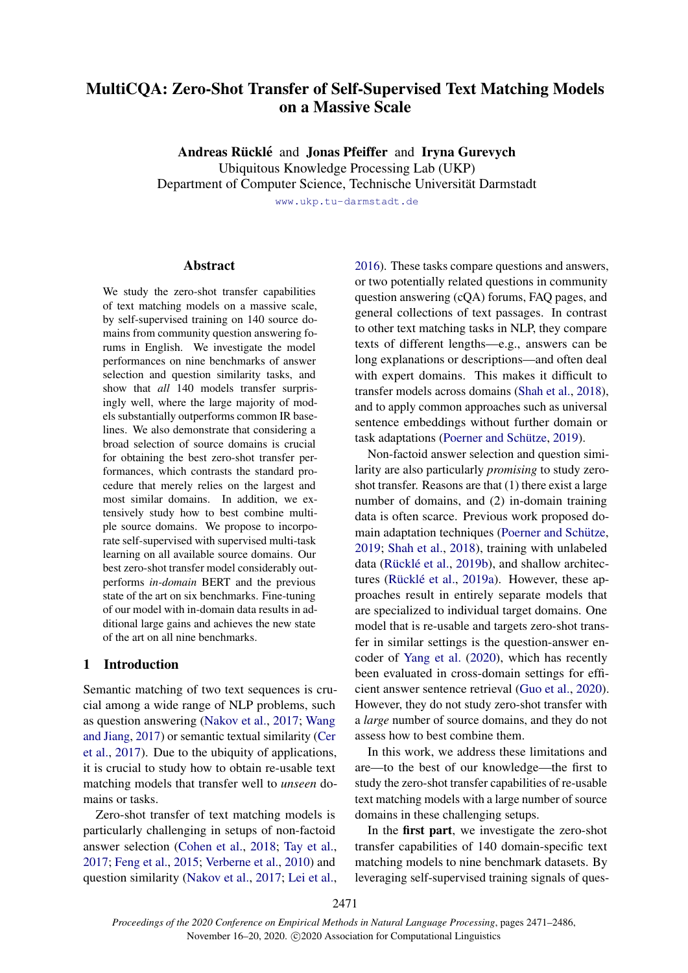# MultiCQA: Zero-Shot Transfer of Self-Supervised Text Matching Models on a Massive Scale

Andreas Rücklé and Jonas Pfeiffer and Iryna Gurevych

Ubiquitous Knowledge Processing Lab (UKP)

Department of Computer Science, Technische Universität Darmstadt

<www.ukp.tu-darmstadt.de>

### Abstract

We study the zero-shot transfer capabilities of text matching models on a massive scale, by self-supervised training on 140 source domains from community question answering forums in English. We investigate the model performances on nine benchmarks of answer selection and question similarity tasks, and show that *all* 140 models transfer surprisingly well, where the large majority of models substantially outperforms common IR baselines. We also demonstrate that considering a broad selection of source domains is crucial for obtaining the best zero-shot transfer performances, which contrasts the standard procedure that merely relies on the largest and most similar domains. In addition, we extensively study how to best combine multiple source domains. We propose to incorporate self-supervised with supervised multi-task learning on all available source domains. Our best zero-shot transfer model considerably outperforms *in-domain* BERT and the previous state of the art on six benchmarks. Fine-tuning of our model with in-domain data results in additional large gains and achieves the new state of the art on all nine benchmarks.

### 1 Introduction

Semantic matching of two text sequences is crucial among a wide range of NLP problems, such as question answering [\(Nakov et al.,](#page-10-0) [2017;](#page-10-0) [Wang](#page-11-0) [and Jiang,](#page-11-0) [2017\)](#page-11-0) or semantic textual similarity [\(Cer](#page-9-0) [et al.,](#page-9-0) [2017\)](#page-9-0). Due to the ubiquity of applications, it is crucial to study how to obtain re-usable text matching models that transfer well to *unseen* domains or tasks.

Zero-shot transfer of text matching models is particularly challenging in setups of non-factoid answer selection [\(Cohen et al.,](#page-9-1) [2018;](#page-9-1) [Tay et al.,](#page-10-1) [2017;](#page-10-1) [Feng et al.,](#page-9-2) [2015;](#page-9-2) [Verberne et al.,](#page-11-1) [2010\)](#page-11-1) and question similarity [\(Nakov et al.,](#page-10-0) [2017;](#page-10-0) [Lei et al.,](#page-9-3)

[2016\)](#page-9-3). These tasks compare questions and answers, or two potentially related questions in community question answering (cQA) forums, FAQ pages, and general collections of text passages. In contrast to other text matching tasks in NLP, they compare texts of different lengths—e.g., answers can be long explanations or descriptions—and often deal with expert domains. This makes it difficult to transfer models across domains [\(Shah et al.,](#page-10-2) [2018\)](#page-10-2), and to apply common approaches such as universal sentence embeddings without further domain or task adaptations (Poerner and Schütze, [2019\)](#page-10-3).

Non-factoid answer selection and question similarity are also particularly *promising* to study zeroshot transfer. Reasons are that (1) there exist a large number of domains, and (2) in-domain training data is often scarce. Previous work proposed domain adaptation techniques (Poerner and Schütze, [2019;](#page-10-3) [Shah et al.,](#page-10-2) [2018\)](#page-10-2), training with unlabeled data (Rücklé et al., [2019b\)](#page-10-4), and shallow architec-tures (Rücklé et al., [2019a\)](#page-10-5). However, these approaches result in entirely separate models that are specialized to individual target domains. One model that is re-usable and targets zero-shot transfer in similar settings is the question-answer encoder of [Yang et al.](#page-11-2) [\(2020\)](#page-11-2), which has recently been evaluated in cross-domain settings for efficient answer sentence retrieval [\(Guo et al.,](#page-9-4) [2020\)](#page-9-4). However, they do not study zero-shot transfer with a *large* number of source domains, and they do not assess how to best combine them.

In this work, we address these limitations and are—to the best of our knowledge—the first to study the zero-shot transfer capabilities of re-usable text matching models with a large number of source domains in these challenging setups.

In the first part, we investigate the zero-shot transfer capabilities of 140 domain-specific text matching models to nine benchmark datasets. By leveraging self-supervised training signals of ques-

2471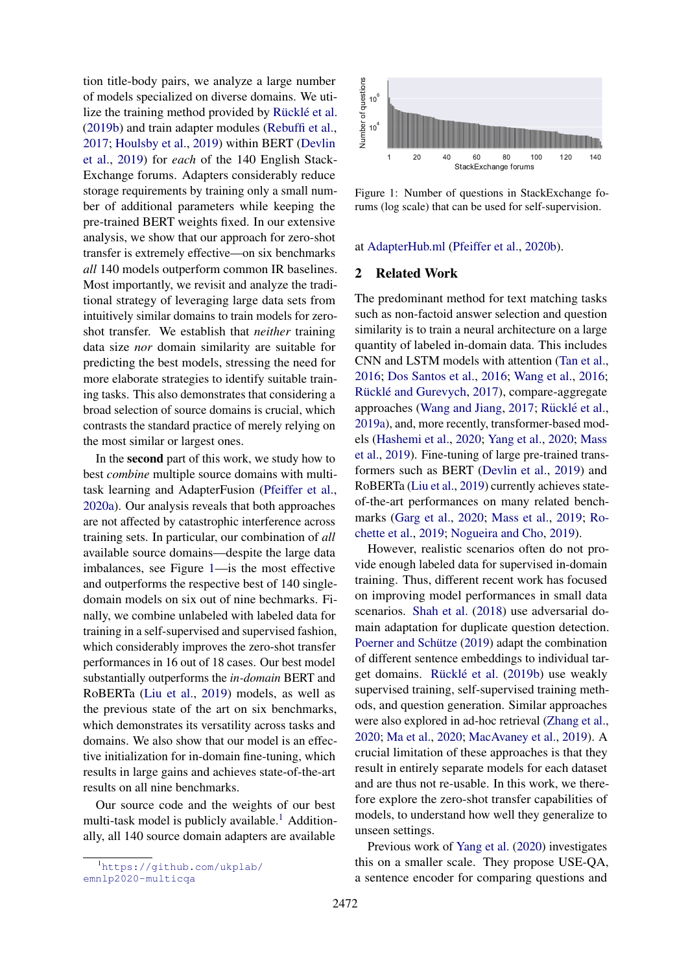tion title-body pairs, we analyze a large number of models specialized on diverse domains. We utilize the training method provided by Rücklé et al. [\(2019b\)](#page-10-4) and train adapter modules [\(Rebuffi et al.,](#page-10-6) [2017;](#page-10-6) [Houlsby et al.,](#page-9-5) [2019\)](#page-9-5) within BERT [\(Devlin](#page-9-6) [et al.,](#page-9-6) [2019\)](#page-9-6) for *each* of the 140 English Stack-Exchange forums. Adapters considerably reduce storage requirements by training only a small number of additional parameters while keeping the pre-trained BERT weights fixed. In our extensive analysis, we show that our approach for zero-shot transfer is extremely effective—on six benchmarks *all* 140 models outperform common IR baselines. Most importantly, we revisit and analyze the traditional strategy of leveraging large data sets from intuitively similar domains to train models for zeroshot transfer. We establish that *neither* training data size *nor* domain similarity are suitable for predicting the best models, stressing the need for more elaborate strategies to identify suitable training tasks. This also demonstrates that considering a broad selection of source domains is crucial, which contrasts the standard practice of merely relying on the most similar or largest ones.

In the second part of this work, we study how to best *combine* multiple source domains with multitask learning and AdapterFusion [\(Pfeiffer et al.,](#page-10-7) [2020a\)](#page-10-7). Our analysis reveals that both approaches are not affected by catastrophic interference across training sets. In particular, our combination of *all* available source domains—despite the large data imbalances, see Figure [1—](#page-1-0)is the most effective and outperforms the respective best of 140 singledomain models on six out of nine bechmarks. Finally, we combine unlabeled with labeled data for training in a self-supervised and supervised fashion, which considerably improves the zero-shot transfer performances in 16 out of 18 cases. Our best model substantially outperforms the *in-domain* BERT and RoBERTa [\(Liu et al.,](#page-9-7) [2019\)](#page-9-7) models, as well as the previous state of the art on six benchmarks, which demonstrates its versatility across tasks and domains. We also show that our model is an effective initialization for in-domain fine-tuning, which results in large gains and achieves state-of-the-art results on all nine benchmarks.

Our source code and the weights of our best multi-task model is publicly available.<sup>[1](#page-1-1)</sup> Additionally, all 140 source domain adapters are available

<span id="page-1-1"></span><sup>1</sup>[https://github.com/ukplab/](https://github.com/ukplab/emnlp2020-multicqa) [emnlp2020-multicqa](https://github.com/ukplab/emnlp2020-multicqa)

<span id="page-1-0"></span>

Figure 1: Number of questions in StackExchange forums (log scale) that can be used for self-supervision.

#### at [AdapterHub.ml](https://AdapterHub.ml) [\(Pfeiffer et al.,](#page-10-8) [2020b\)](#page-10-8).

#### 2 Related Work

The predominant method for text matching tasks such as non-factoid answer selection and question similarity is to train a neural architecture on a large quantity of labeled in-domain data. This includes CNN and LSTM models with attention [\(Tan et al.,](#page-10-9) [2016;](#page-10-9) [Dos Santos et al.,](#page-9-8) [2016;](#page-9-8) [Wang et al.,](#page-11-3) [2016;](#page-11-3) Rücklé and Gurevych, [2017\)](#page-10-10), compare-aggregate approaches [\(Wang and Jiang,](#page-11-0) [2017;](#page-11-0) Rücklé et al., [2019a\)](#page-10-5), and, more recently, transformer-based models [\(Hashemi et al.,](#page-9-9) [2020;](#page-9-9) [Yang et al.,](#page-11-2) [2020;](#page-11-2) [Mass](#page-10-11) [et al.,](#page-10-11) [2019\)](#page-10-11). Fine-tuning of large pre-trained transformers such as BERT [\(Devlin et al.,](#page-9-6) [2019\)](#page-9-6) and RoBERTa [\(Liu et al.,](#page-9-7) [2019\)](#page-9-7) currently achieves stateof-the-art performances on many related benchmarks [\(Garg et al.,](#page-9-10) [2020;](#page-9-10) [Mass et al.,](#page-10-11) [2019;](#page-10-11) [Ro](#page-10-12)[chette et al.,](#page-10-12) [2019;](#page-10-12) [Nogueira and Cho,](#page-10-13) [2019\)](#page-10-13).

However, realistic scenarios often do not provide enough labeled data for supervised in-domain training. Thus, different recent work has focused on improving model performances in small data scenarios. [Shah et al.](#page-10-2) [\(2018\)](#page-10-2) use adversarial domain adaptation for duplicate question detection. Poerner and Schütze [\(2019\)](#page-10-3) adapt the combination of different sentence embeddings to individual tar-get domains. Rücklé et al. [\(2019b\)](#page-10-4) use weakly supervised training, self-supervised training methods, and question generation. Similar approaches were also explored in ad-hoc retrieval [\(Zhang et al.,](#page-11-4) [2020;](#page-11-4) [Ma et al.,](#page-10-14) [2020;](#page-10-14) [MacAvaney et al.,](#page-10-15) [2019\)](#page-10-15). A crucial limitation of these approaches is that they result in entirely separate models for each dataset and are thus not re-usable. In this work, we therefore explore the zero-shot transfer capabilities of models, to understand how well they generalize to unseen settings.

Previous work of [Yang et al.](#page-11-2) [\(2020\)](#page-11-2) investigates this on a smaller scale. They propose USE-QA, a sentence encoder for comparing questions and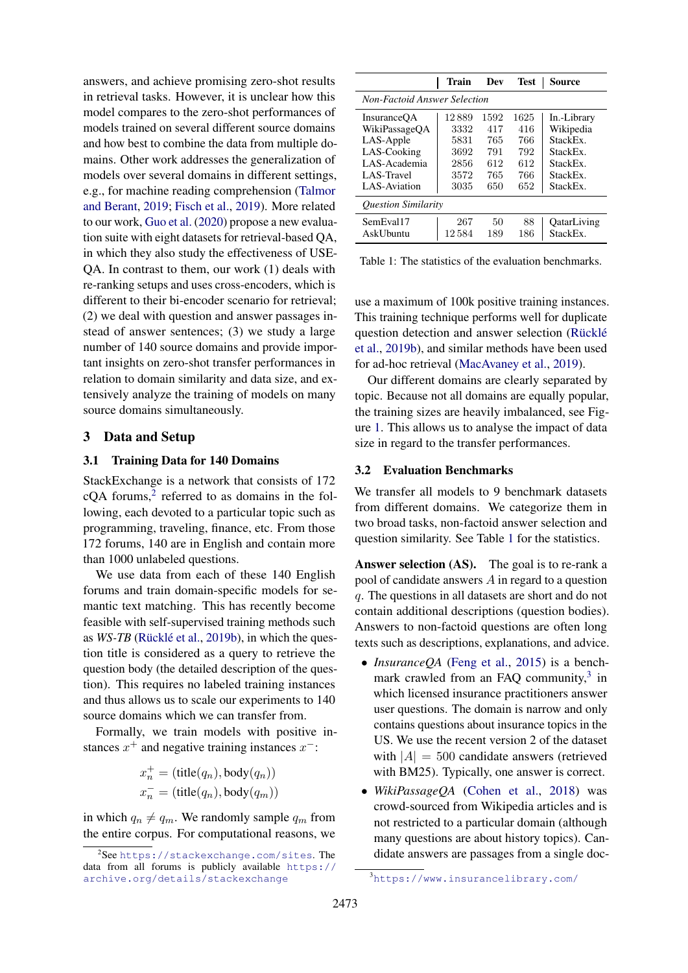answers, and achieve promising zero-shot results in retrieval tasks. However, it is unclear how this model compares to the zero-shot performances of models trained on several different source domains and how best to combine the data from multiple domains. Other work addresses the generalization of models over several domains in different settings, e.g., for machine reading comprehension [\(Talmor](#page-10-16) [and Berant,](#page-10-16) [2019;](#page-10-16) [Fisch et al.,](#page-9-11) [2019\)](#page-9-11). More related to our work, [Guo et al.](#page-9-4) [\(2020\)](#page-9-4) propose a new evaluation suite with eight datasets for retrieval-based QA, in which they also study the effectiveness of USE-QA. In contrast to them, our work (1) deals with re-ranking setups and uses cross-encoders, which is different to their bi-encoder scenario for retrieval; (2) we deal with question and answer passages instead of answer sentences; (3) we study a large number of 140 source domains and provide important insights on zero-shot transfer performances in relation to domain similarity and data size, and extensively analyze the training of models on many source domains simultaneously.

#### 3 Data and Setup

#### <span id="page-2-3"></span>3.1 Training Data for 140 Domains

StackExchange is a network that consists of 172  $cQA$  forums,<sup>[2](#page-2-0)</sup> referred to as domains in the following, each devoted to a particular topic such as programming, traveling, finance, etc. From those 172 forums, 140 are in English and contain more than 1000 unlabeled questions.

We use data from each of these 140 English forums and train domain-specific models for semantic text matching. This has recently become feasible with self-supervised training methods such as *WS-TB* (Rücklé et al., [2019b\)](#page-10-4), in which the question title is considered as a query to retrieve the question body (the detailed description of the question). This requires no labeled training instances and thus allows us to scale our experiments to 140 source domains which we can transfer from.

Formally, we train models with positive instances  $x^+$  and negative training instances  $x^-$ :

$$
x_n^+ = (\text{title}(q_n), \text{body}(q_n))
$$
  

$$
x_n^- = (\text{title}(q_n), \text{body}(q_m))
$$

in which  $q_n \neq q_m$ . We randomly sample  $q_m$  from the entire corpus. For computational reasons, we

<span id="page-2-1"></span>

|                                     | Train  | Dev  | <b>Test</b> | Source      |  |  |  |  |  |
|-------------------------------------|--------|------|-------------|-------------|--|--|--|--|--|
| <b>Non-Factoid Answer Selection</b> |        |      |             |             |  |  |  |  |  |
| <b>InsuranceOA</b>                  | 12889  | 1592 | 1625        | In.-Library |  |  |  |  |  |
| WikiPassageQA                       | 3332   | 417  | 416         | Wikipedia   |  |  |  |  |  |
| LAS-Apple                           | 5831   | 765  | 766         | StackEx.    |  |  |  |  |  |
| LAS-Cooking                         | 3692   | 791  | 792         | StackEx.    |  |  |  |  |  |
| LAS-Academia                        | 2856   | 612  | 612         | StackEx.    |  |  |  |  |  |
| LAS-Travel                          | 3572   | 765  | 766         | StackEx.    |  |  |  |  |  |
| LAS-Aviation                        | 3035   | 650  | 652         | StackEx.    |  |  |  |  |  |
| <b>Ouestion Similarity</b>          |        |      |             |             |  |  |  |  |  |
| SemEval17                           | 267    | 50   | 88          | OatarLiving |  |  |  |  |  |
| <b>AskUbuntu</b>                    | 12 584 | 189  | 186         | StackEx.    |  |  |  |  |  |

Table 1: The statistics of the evaluation benchmarks.

use a maximum of 100k positive training instances. This training technique performs well for duplicate question detection and answer selection (Rücklé [et al.,](#page-10-4) [2019b\)](#page-10-4), and similar methods have been used for ad-hoc retrieval [\(MacAvaney et al.,](#page-10-15) [2019\)](#page-10-15).

Our different domains are clearly separated by topic. Because not all domains are equally popular, the training sizes are heavily imbalanced, see Figure [1.](#page-1-0) This allows us to analyse the impact of data size in regard to the transfer performances.

#### <span id="page-2-4"></span>3.2 Evaluation Benchmarks

We transfer all models to 9 benchmark datasets from different domains. We categorize them in two broad tasks, non-factoid answer selection and question similarity. See Table [1](#page-2-1) for the statistics.

Answer selection (AS). The goal is to re-rank a pool of candidate answers A in regard to a question q. The questions in all datasets are short and do not contain additional descriptions (question bodies). Answers to non-factoid questions are often long texts such as descriptions, explanations, and advice.

- *InsuranceQA* [\(Feng et al.,](#page-9-2) [2015\)](#page-9-2) is a benchmark crawled from an FAQ community, $3$  in which licensed insurance practitioners answer user questions. The domain is narrow and only contains questions about insurance topics in the US. We use the recent version 2 of the dataset with  $|A| = 500$  candidate answers (retrieved with BM25). Typically, one answer is correct.
- *WikiPassageQA* [\(Cohen et al.,](#page-9-1) [2018\)](#page-9-1) was crowd-sourced from Wikipedia articles and is not restricted to a particular domain (although many questions are about history topics). Candidate answers are passages from a single doc-

<span id="page-2-0"></span><sup>2</sup> See <https://stackexchange.com/sites>. The data from all forums is publicly available [https://](https://archive.org/details/stackexchange) [archive.org/details/stackexchange](https://archive.org/details/stackexchange)

<span id="page-2-2"></span><sup>3</sup><https://www.insurancelibrary.com/>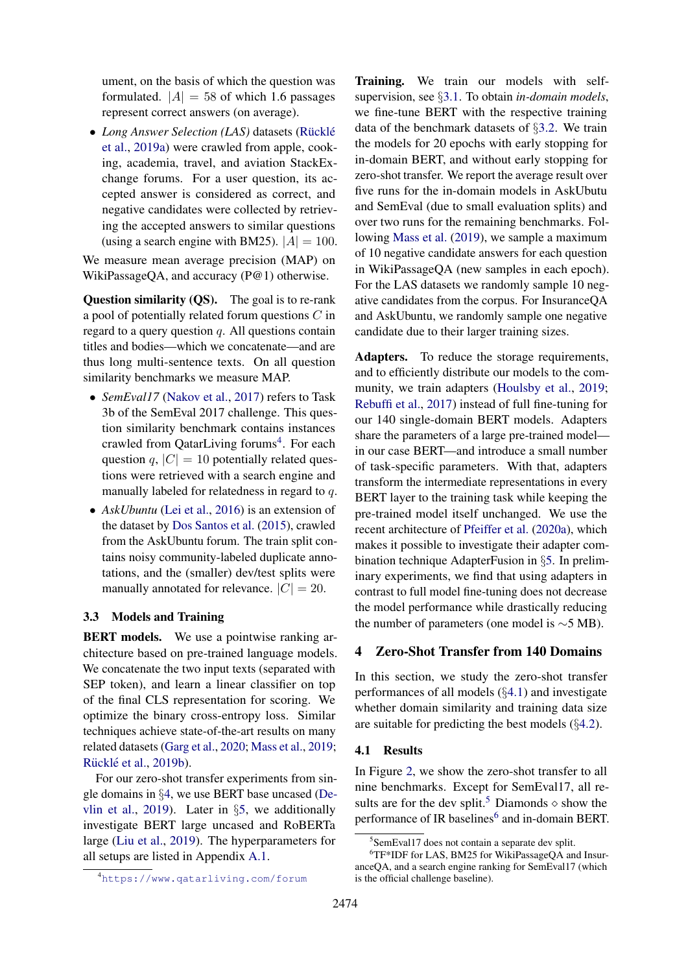ument, on the basis of which the question was formulated.  $|A| = 58$  of which 1.6 passages represent correct answers (on average).

• *Long Answer Selection (LAS)* datasets (Rücklé [et al.,](#page-10-5) [2019a\)](#page-10-5) were crawled from apple, cooking, academia, travel, and aviation StackExchange forums. For a user question, its accepted answer is considered as correct, and negative candidates were collected by retrieving the accepted answers to similar questions (using a search engine with BM25).  $|A| = 100$ .

We measure mean average precision (MAP) on WikiPassageOA, and accuracy (P@1) otherwise.

Question similarity (QS). The goal is to re-rank a pool of potentially related forum questions C in regard to a query question  $q$ . All questions contain titles and bodies—which we concatenate—and are thus long multi-sentence texts. On all question similarity benchmarks we measure MAP.

- *SemEval17* [\(Nakov et al.,](#page-10-0) [2017\)](#page-10-0) refers to Task 3b of the SemEval 2017 challenge. This question similarity benchmark contains instances crawled from QatarLiving forums<sup>[4](#page-3-0)</sup>. For each question q,  $|C| = 10$  potentially related questions were retrieved with a search engine and manually labeled for relatedness in regard to q.
- *AskUbuntu* [\(Lei et al.,](#page-9-3) [2016\)](#page-9-3) is an extension of the dataset by [Dos Santos et al.](#page-9-12) [\(2015\)](#page-9-12), crawled from the AskUbuntu forum. The train split contains noisy community-labeled duplicate annotations, and the (smaller) dev/test splits were manually annotated for relevance.  $|C| = 20$ .

#### <span id="page-3-5"></span>3.3 Models and Training

BERT models. We use a pointwise ranking architecture based on pre-trained language models. We concatenate the two input texts (separated with SEP token), and learn a linear classifier on top of the final CLS representation for scoring. We optimize the binary cross-entropy loss. Similar techniques achieve state-of-the-art results on many related datasets [\(Garg et al.,](#page-9-10) [2020;](#page-9-10) [Mass et al.,](#page-10-11) [2019;](#page-10-11) Rücklé et al., [2019b\)](#page-10-4).

For our zero-shot transfer experiments from single domains in §[4,](#page-3-1) we use BERT base uncased [\(De](#page-9-6)[vlin et al.,](#page-9-6) [2019\)](#page-9-6). Later in §[5,](#page-5-0) we additionally investigate BERT large uncased and RoBERTa large [\(Liu et al.,](#page-9-7) [2019\)](#page-9-7). The hyperparameters for all setups are listed in Appendix [A.1.](#page-12-0)

<span id="page-3-0"></span><sup>4</sup><https://www.qatarliving.com/forum>

Training. We train our models with selfsupervision, see §[3.1.](#page-2-3) To obtain *in-domain models*, we fine-tune BERT with the respective training data of the benchmark datasets of §[3.2.](#page-2-4) We train the models for 20 epochs with early stopping for in-domain BERT, and without early stopping for zero-shot transfer. We report the average result over five runs for the in-domain models in AskUbutu and SemEval (due to small evaluation splits) and over two runs for the remaining benchmarks. Following [Mass et al.](#page-10-11) [\(2019\)](#page-10-11), we sample a maximum of 10 negative candidate answers for each question in WikiPassageQA (new samples in each epoch). For the LAS datasets we randomly sample 10 negative candidates from the corpus. For InsuranceQA and AskUbuntu, we randomly sample one negative candidate due to their larger training sizes.

Adapters. To reduce the storage requirements, and to efficiently distribute our models to the com-munity, we train adapters [\(Houlsby et al.,](#page-9-5) [2019;](#page-9-5) [Rebuffi et al.,](#page-10-6) [2017\)](#page-10-6) instead of full fine-tuning for our 140 single-domain BERT models. Adapters share the parameters of a large pre-trained model in our case BERT—and introduce a small number of task-specific parameters. With that, adapters transform the intermediate representations in every BERT layer to the training task while keeping the pre-trained model itself unchanged. We use the recent architecture of [Pfeiffer et al.](#page-10-7) [\(2020a\)](#page-10-7), which makes it possible to investigate their adapter combination technique AdapterFusion in §[5.](#page-5-0) In preliminary experiments, we find that using adapters in contrast to full model fine-tuning does not decrease the model performance while drastically reducing the number of parameters (one model is ∼5 MB).

### <span id="page-3-1"></span>4 Zero-Shot Transfer from 140 Domains

In this section, we study the zero-shot transfer performances of all models (§[4.1\)](#page-3-2) and investigate whether domain similarity and training data size are suitable for predicting the best models  $(\S 4.2)$  $(\S 4.2)$ .

#### <span id="page-3-2"></span>4.1 Results

In Figure [2,](#page-4-1) we show the zero-shot transfer to all nine benchmarks. Except for SemEval17, all re-sults are for the dev split.<sup>[5](#page-3-3)</sup> Diamonds  $\diamond$  show the performance of IR baselines<sup>[6](#page-3-4)</sup> and in-domain BERT.

<span id="page-3-4"></span><span id="page-3-3"></span><sup>5</sup> SemEval17 does not contain a separate dev split.

<sup>6</sup>TF\*IDF for LAS, BM25 for WikiPassageQA and InsuranceQA, and a search engine ranking for SemEval17 (which is the official challenge baseline).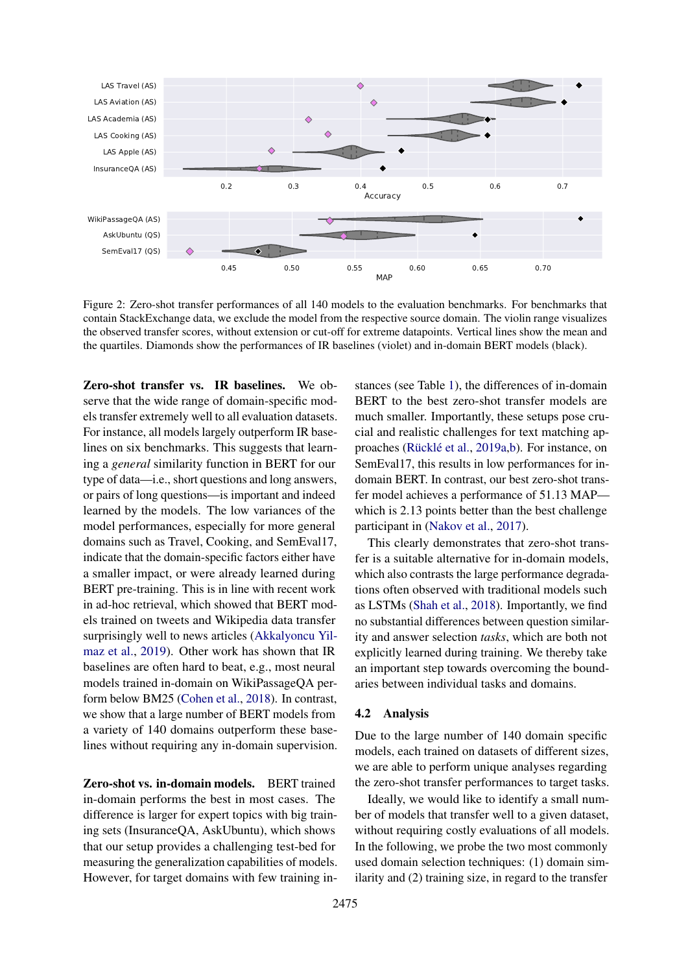<span id="page-4-1"></span>

Figure 2: Zero-shot transfer performances of all 140 models to the evaluation benchmarks. For benchmarks that contain StackExchange data, we exclude the model from the respective source domain. The violin range visualizes the observed transfer scores, without extension or cut-off for extreme datapoints. Vertical lines show the mean and the quartiles. Diamonds show the performances of IR baselines (violet) and in-domain BERT models (black).

Zero-shot transfer vs. IR baselines. We observe that the wide range of domain-specific models transfer extremely well to all evaluation datasets. For instance, all models largely outperform IR baselines on six benchmarks. This suggests that learning a *general* similarity function in BERT for our type of data—i.e., short questions and long answers, or pairs of long questions—is important and indeed learned by the models. The low variances of the model performances, especially for more general domains such as Travel, Cooking, and SemEval17, indicate that the domain-specific factors either have a smaller impact, or were already learned during BERT pre-training. This is in line with recent work in ad-hoc retrieval, which showed that BERT models trained on tweets and Wikipedia data transfer surprisingly well to news articles [\(Akkalyoncu Yil](#page-9-13)[maz et al.,](#page-9-13) [2019\)](#page-9-13). Other work has shown that IR baselines are often hard to beat, e.g., most neural models trained in-domain on WikiPassageQA perform below BM25 [\(Cohen et al.,](#page-9-1) [2018\)](#page-9-1). In contrast, we show that a large number of BERT models from a variety of 140 domains outperform these baselines without requiring any in-domain supervision.

Zero-shot vs. in-domain models. BERT trained in-domain performs the best in most cases. The difference is larger for expert topics with big training sets (InsuranceQA, AskUbuntu), which shows that our setup provides a challenging test-bed for measuring the generalization capabilities of models. However, for target domains with few training instances (see Table [1\)](#page-2-1), the differences of in-domain BERT to the best zero-shot transfer models are much smaller. Importantly, these setups pose crucial and realistic challenges for text matching ap-proaches (Rücklé et al., [2019a](#page-10-5)[,b\)](#page-10-4). For instance, on SemEval17, this results in low performances for indomain BERT. In contrast, our best zero-shot transfer model achieves a performance of 51.13 MAP which is 2.13 points better than the best challenge participant in [\(Nakov et al.,](#page-10-0) [2017\)](#page-10-0).

This clearly demonstrates that zero-shot transfer is a suitable alternative for in-domain models, which also contrasts the large performance degradations often observed with traditional models such as LSTMs [\(Shah et al.,](#page-10-2) [2018\)](#page-10-2). Importantly, we find no substantial differences between question similarity and answer selection *tasks*, which are both not explicitly learned during training. We thereby take an important step towards overcoming the boundaries between individual tasks and domains.

#### <span id="page-4-0"></span>4.2 Analysis

Due to the large number of 140 domain specific models, each trained on datasets of different sizes, we are able to perform unique analyses regarding the zero-shot transfer performances to target tasks.

Ideally, we would like to identify a small number of models that transfer well to a given dataset, without requiring costly evaluations of all models. In the following, we probe the two most commonly used domain selection techniques: (1) domain similarity and (2) training size, in regard to the transfer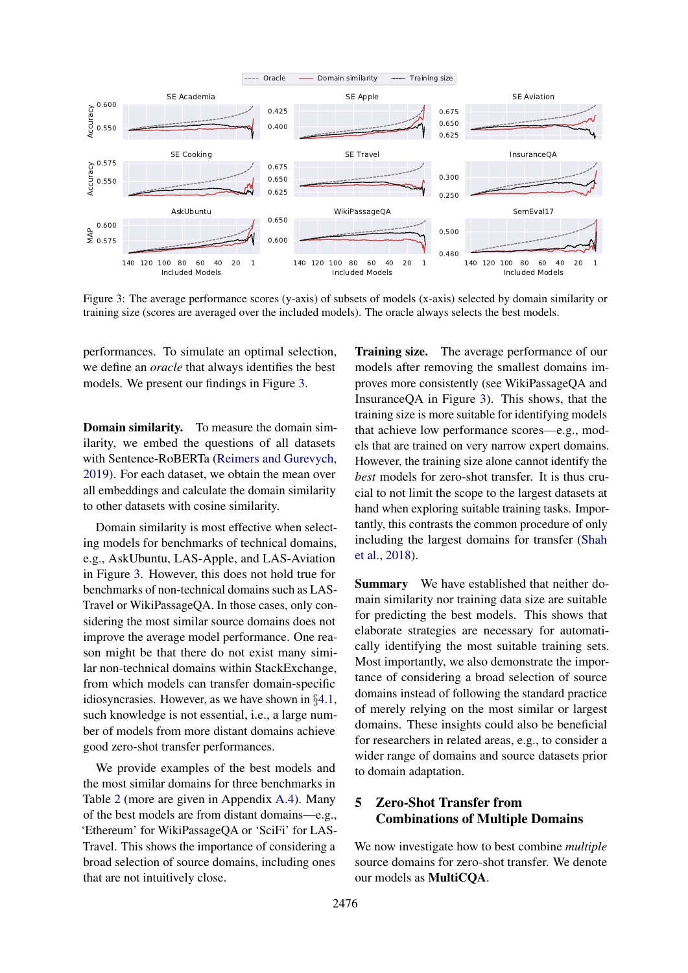<span id="page-5-1"></span>

Figure 3: The average performance scores (y-axis) of subsets of models (x-axis) selected by domain similarity or training size (scores are averaged over the included models). The oracle always selects the best models.

performances. To simulate an optimal selection, we define an *oracle* that always identifies the best models. We present our findings in Figure [3.](#page-5-1)

**Domain similarity.** To measure the domain similarity, we embed the questions of all datasets with Sentence-RoBERTa [\(Reimers and Gurevych,](#page-10-17) [2019\)](#page-10-17). For each dataset, we obtain the mean over all embeddings and calculate the domain similarity to other datasets with cosine similarity.

Domain similarity is most effective when selecting models for benchmarks of technical domains, e.g., AskUbuntu, LAS-Apple, and LAS-Aviation in Figure [3.](#page-5-1) However, this does not hold true for benchmarks of non-technical domains such as LAS-Travel or WikiPassageQA. In those cases, only considering the most similar source domains does not improve the average model performance. One reason might be that there do not exist many similar non-technical domains within StackExchange, from which models can transfer domain-specific idiosyncrasies. However, as we have shown in §[4.1,](#page-3-2) such knowledge is not essential, i.e., a large number of models from more distant domains achieve good zero-shot transfer performances.

We provide examples of the best models and the most similar domains for three benchmarks in Table [2](#page-6-0) (more are given in Appendix [A.4\)](#page-12-1). Many of the best models are from distant domains—e.g., 'Ethereum' for WikiPassageQA or 'SciFi' for LAS-Travel. This shows the importance of considering a broad selection of source domains, including ones that are not intuitively close.

Training size. The average performance of our models after removing the smallest domains improves more consistently (see WikiPassageQA and InsuranceQA in Figure [3\)](#page-5-1). This shows, that the training size is more suitable for identifying models that achieve low performance scores—e.g., models that are trained on very narrow expert domains. However, the training size alone cannot identify the *best* models for zero-shot transfer. It is thus crucial to not limit the scope to the largest datasets at hand when exploring suitable training tasks. Importantly, this contrasts the common procedure of only including the largest domains for transfer [\(Shah](#page-10-2) [et al.,](#page-10-2) [2018\)](#page-10-2).

Summary We have established that neither domain similarity nor training data size are suitable for predicting the best models. This shows that elaborate strategies are necessary for automatically identifying the most suitable training sets. Most importantly, we also demonstrate the importance of considering a broad selection of source domains instead of following the standard practice of merely relying on the most similar or largest domains. These insights could also be beneficial for researchers in related areas, e.g., to consider a wider range of domains and source datasets prior to domain adaptation.

## <span id="page-5-0"></span>5 Zero-Shot Transfer from Combinations of Multiple Domains

We now investigate how to best combine *multiple* source domains for zero-shot transfer. We denote our models as MultiCQA.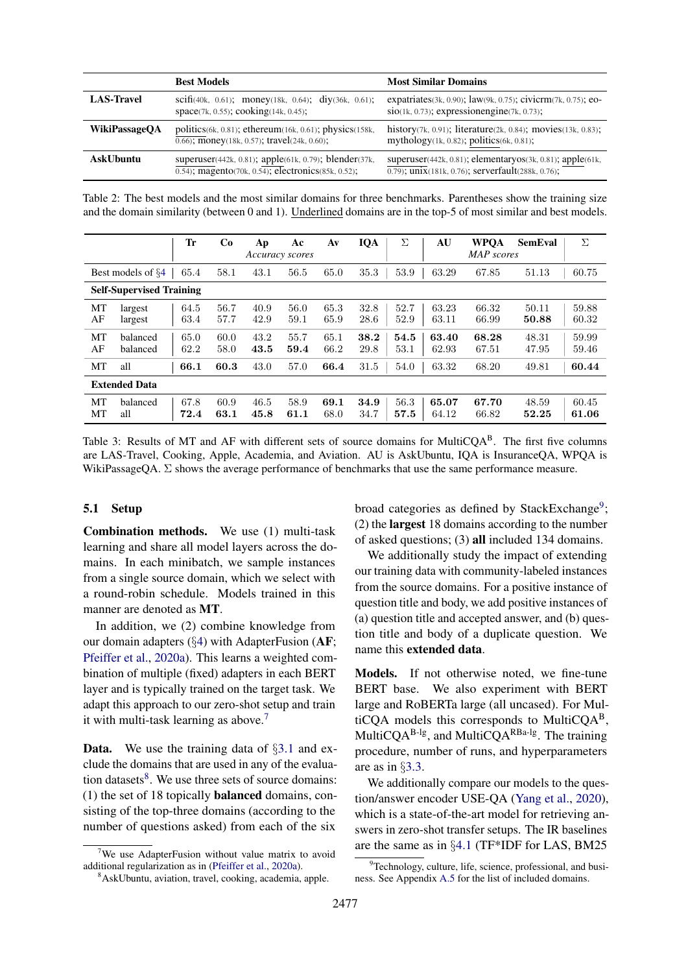<span id="page-6-0"></span>

|                      | <b>Best Models</b>                                                                                                            | <b>Most Similar Domains</b>                                                                                                            |
|----------------------|-------------------------------------------------------------------------------------------------------------------------------|----------------------------------------------------------------------------------------------------------------------------------------|
| <b>LAS-Travel</b>    | scifi(40k, 0.61); money(18k, 0.64); diy(36k, 0.61);<br>space(7k, 0.55); cooking(14k, 0.45);                                   | expatriates $(3k, 0.90)$ ; law $(9k, 0.75)$ ; civicrm $(7k, 0.75)$ ; eo-<br>$\sin(1k, 0.73)$ ; expressionengine(7k, 0.73);             |
| <b>WikiPassageOA</b> | politics $(6k, 0.81)$ ; ethereum $(16k, 0.61)$ ; physics $(158k,$<br>$\overline{0.66}$ ; money(18k, 0.57); travel(24k, 0.60); | history(7k, 0.91); literature(2k, 0.84); movies(13k, 0.83);<br>mythology(1k, 0.82); politics(6k, 0.81);                                |
| AskUbuntu            | superuser(442k, 0.81); apple(61k, 0.79); blender(37k,<br>$\overline{0.54}$ ; magento(70k, 0.54); electronics(85k, 0.52);      | superuser $(442k, 0.81)$ ; elementaryos $(3k, 0.81)$ ; apple $(61k,$<br>$\overline{0.79}$ ; unix(181k, 0.76); serverfault(288k, 0.76); |

Table 2: The best models and the most similar domains for three benchmarks. Parentheses show the training size and the domain similarity (between 0 and 1). Underlined domains are in the top-5 of most similar and best models.

<span id="page-6-4"></span>

|          |                                 | Tr           | Co           | Ap           | Ac<br>Accuracy scores | $A\mathbf{v}$ | IQA          | Σ            | AU             | <b>WPOA</b><br><b>MAP</b> scores | SemEval        | Σ              |
|----------|---------------------------------|--------------|--------------|--------------|-----------------------|---------------|--------------|--------------|----------------|----------------------------------|----------------|----------------|
|          | Best models of §4               | 65.4         | 58.1         | 43.1         | 56.5                  | 65.0          | 35.3         | 53.9         | 63.29          | 67.85                            | 51.13          | 60.75          |
|          | <b>Self-Supervised Training</b> |              |              |              |                       |               |              |              |                |                                  |                |                |
| MT<br>AF | largest<br>largest              | 64.5<br>63.4 | 56.7<br>57.7 | 40.9<br>42.9 | 56.0<br>59.1          | 65.3<br>65.9  | 32.8<br>28.6 | 52.7<br>52.9 | 63.23<br>63.11 | 66.32<br>66.99                   | 50.11<br>50.88 | 59.88<br>60.32 |
| MT<br>AF | balanced<br>balanced            | 65.0<br>62.2 | 60.0<br>58.0 | 43.2<br>43.5 | 55.7<br>59.4          | 65.1<br>66.2  | 38.2<br>29.8 | 54.5<br>53.1 | 63.40<br>62.93 | 68.28<br>67.51                   | 48.31<br>47.95 | 59.99<br>59.46 |
| МT       | all                             | 66.1         | 60.3         | 43.0         | 57.0                  | 66.4          | 31.5         | 54.0         | 63.32          | 68.20                            | 49.81          | 60.44          |
|          | <b>Extended Data</b>            |              |              |              |                       |               |              |              |                |                                  |                |                |
| MT<br>МT | balanced<br>all                 | 67.8<br>72.4 | 60.9<br>63.1 | 46.5<br>45.8 | 58.9<br>61.1          | 69.1<br>68.0  | 34.9<br>34.7 | 56.3<br>57.5 | 65.07<br>64.12 | 67.70<br>66.82                   | 48.59<br>52.25 | 60.45<br>61.06 |

Table 3: Results of MT and AF with different sets of source domains for MultiCQA<sup>B</sup>. The first five columns are LAS-Travel, Cooking, Apple, Academia, and Aviation. AU is AskUbuntu, IQA is InsuranceQA, WPQA is WikiPassageQA.  $\Sigma$  shows the average performance of benchmarks that use the same performance measure.

#### 5.1 Setup

Combination methods. We use (1) multi-task learning and share all model layers across the domains. In each minibatch, we sample instances from a single source domain, which we select with a round-robin schedule. Models trained in this manner are denoted as MT.

In addition, we (2) combine knowledge from our domain adapters (§[4\)](#page-3-1) with AdapterFusion (AF; [Pfeiffer et al.,](#page-10-7) [2020a\)](#page-10-7). This learns a weighted combination of multiple (fixed) adapters in each BERT layer and is typically trained on the target task. We adapt this approach to our zero-shot setup and train it with multi-task learning as above.<sup>[7](#page-6-1)</sup>

**Data.** We use the training data of  $\S3.1$  $\S3.1$  and exclude the domains that are used in any of the evalua-tion datasets<sup>[8](#page-6-2)</sup>. We use three sets of source domains: (1) the set of 18 topically balanced domains, consisting of the top-three domains (according to the number of questions asked) from each of the six

broad categories as defined by StackExchange<sup>[9](#page-6-3)</sup>; (2) the largest 18 domains according to the number of asked questions; (3) all included 134 domains.

We additionally study the impact of extending our training data with community-labeled instances from the source domains. For a positive instance of question title and body, we add positive instances of (a) question title and accepted answer, and (b) question title and body of a duplicate question. We name this extended data.

Models. If not otherwise noted, we fine-tune BERT base. We also experiment with BERT large and RoBERTa large (all uncased). For MultiCQA models this corresponds to MultiCQAB, MultiCQA<sup>B-lg</sup>, and MultiCQA<sup>RBa-lg</sup>. The training procedure, number of runs, and hyperparameters are as in §[3.3.](#page-3-5)

We additionally compare our models to the question/answer encoder USE-QA [\(Yang et al.,](#page-11-2) [2020\)](#page-11-2), which is a state-of-the-art model for retrieving answers in zero-shot transfer setups. The IR baselines are the same as in §[4.1](#page-3-2) (TF\*IDF for LAS, BM25

<span id="page-6-1"></span>We use AdapterFusion without value matrix to avoid additional regularization as in [\(Pfeiffer et al.,](#page-10-7) [2020a\)](#page-10-7).

<span id="page-6-2"></span><sup>8</sup>AskUbuntu, aviation, travel, cooking, academia, apple.

<span id="page-6-3"></span> $9$ Technology, culture, life, science, professional, and business. See Appendix [A.5](#page-14-0) for the list of included domains.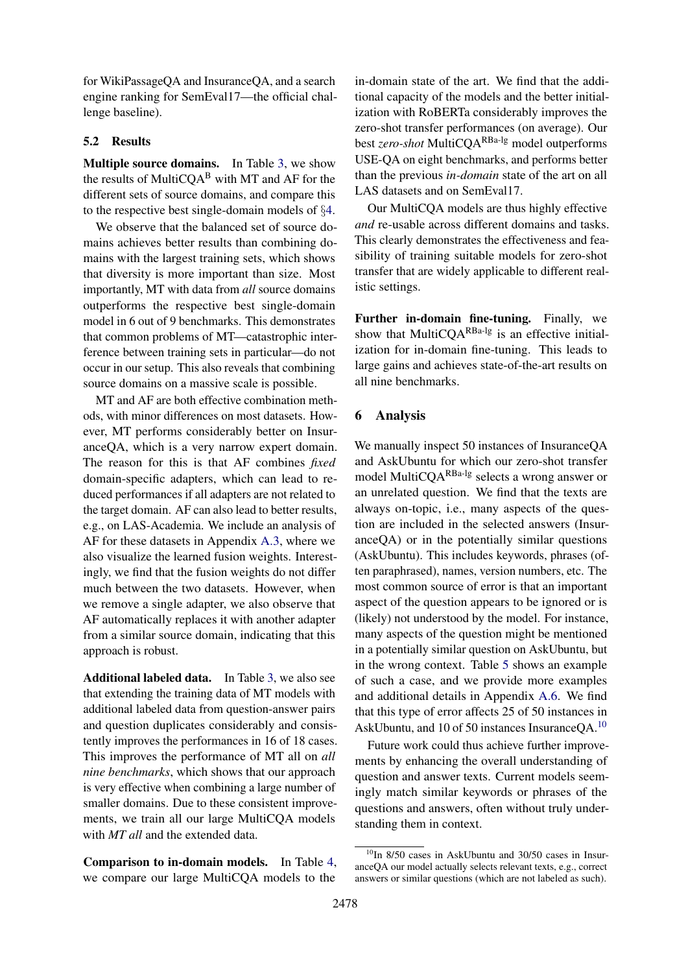for WikiPassageQA and InsuranceQA, and a search engine ranking for SemEval17—the official challenge baseline).

#### <span id="page-7-1"></span>5.2 Results

Multiple source domains. In Table [3,](#page-6-4) we show the results of MultiCQA<sup>B</sup> with MT and AF for the different sets of source domains, and compare this to the respective best single-domain models of §[4.](#page-3-1)

We observe that the balanced set of source domains achieves better results than combining domains with the largest training sets, which shows that diversity is more important than size. Most importantly, MT with data from *all* source domains outperforms the respective best single-domain model in 6 out of 9 benchmarks. This demonstrates that common problems of MT—catastrophic interference between training sets in particular—do not occur in our setup. This also reveals that combining source domains on a massive scale is possible.

MT and AF are both effective combination methods, with minor differences on most datasets. However, MT performs considerably better on InsuranceQA, which is a very narrow expert domain. The reason for this is that AF combines *fixed* domain-specific adapters, which can lead to reduced performances if all adapters are not related to the target domain. AF can also lead to better results, e.g., on LAS-Academia. We include an analysis of AF for these datasets in Appendix [A.3,](#page-12-2) where we also visualize the learned fusion weights. Interestingly, we find that the fusion weights do not differ much between the two datasets. However, when we remove a single adapter, we also observe that AF automatically replaces it with another adapter from a similar source domain, indicating that this approach is robust.

Additional labeled data. In Table [3,](#page-6-4) we also see that extending the training data of MT models with additional labeled data from question-answer pairs and question duplicates considerably and consistently improves the performances in 16 of 18 cases. This improves the performance of MT all on *all nine benchmarks*, which shows that our approach is very effective when combining a large number of smaller domains. Due to these consistent improvements, we train all our large MultiCQA models with *MT all* and the extended data.

Comparison to in-domain models. In Table [4,](#page-8-0) we compare our large MultiCQA models to the

in-domain state of the art. We find that the additional capacity of the models and the better initialization with RoBERTa considerably improves the zero-shot transfer performances (on average). Our best *zero-shot* MultiCQARBa-lg model outperforms USE-QA on eight benchmarks, and performs better than the previous *in-domain* state of the art on all LAS datasets and on SemEval17.

Our MultiCQA models are thus highly effective *and* re-usable across different domains and tasks. This clearly demonstrates the effectiveness and feasibility of training suitable models for zero-shot transfer that are widely applicable to different realistic settings.

Further in-domain fine-tuning. Finally, we show that MultiCQA<sup>RBa-lg</sup> is an effective initialization for in-domain fine-tuning. This leads to large gains and achieves state-of-the-art results on all nine benchmarks.

#### <span id="page-7-2"></span>6 Analysis

We manually inspect 50 instances of InsuranceQA and AskUbuntu for which our zero-shot transfer model MultiCQARBa-lg selects a wrong answer or an unrelated question. We find that the texts are always on-topic, i.e., many aspects of the question are included in the selected answers (InsuranceQA) or in the potentially similar questions (AskUbuntu). This includes keywords, phrases (often paraphrased), names, version numbers, etc. The most common source of error is that an important aspect of the question appears to be ignored or is (likely) not understood by the model. For instance, many aspects of the question might be mentioned in a potentially similar question on AskUbuntu, but in the wrong context. Table [5](#page-8-1) shows an example of such a case, and we provide more examples and additional details in Appendix [A.6.](#page-14-1) We find that this type of error affects 25 of 50 instances in AskUbuntu, and 10 of 50 instances InsuranceQA.[10](#page-7-0)

Future work could thus achieve further improvements by enhancing the overall understanding of question and answer texts. Current models seemingly match similar keywords or phrases of the questions and answers, often without truly understanding them in context.

<span id="page-7-0"></span> $10$ In 8/50 cases in AskUbuntu and 30/50 cases in InsuranceQA our model actually selects relevant texts, e.g., correct answers or similar questions (which are not labeled as such).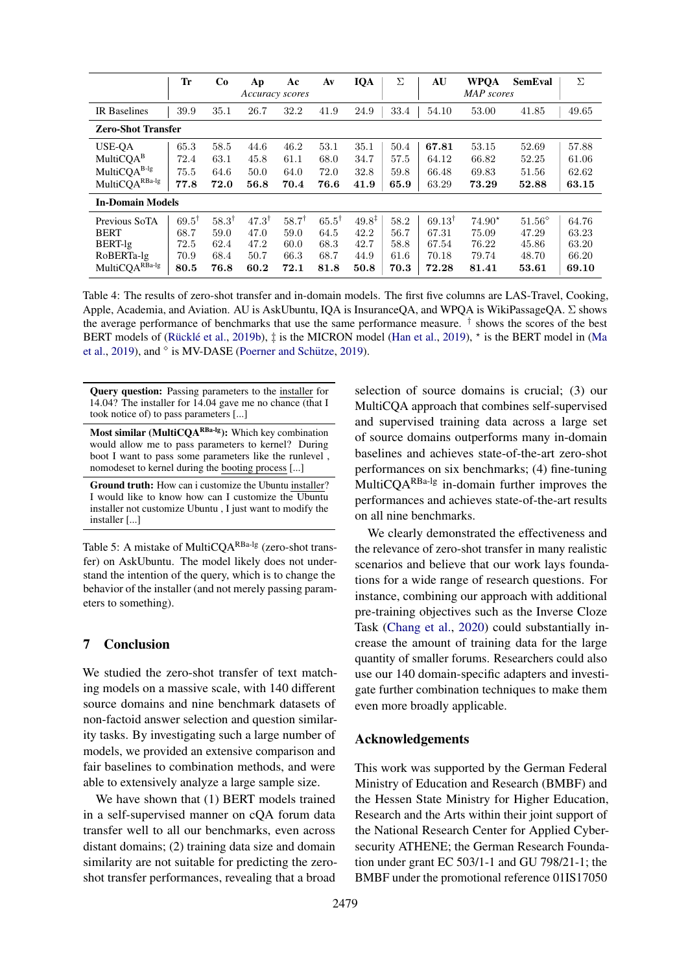<span id="page-8-0"></span>

|                           | Tr               | Co               | Aр<br>Accuracy scores | Ac               | Av               | <b>IQA</b>        | Σ    | AU                   | <b>WPQA</b><br><b>MAP</b> scores | <b>SemEval</b>  | Σ     |
|---------------------------|------------------|------------------|-----------------------|------------------|------------------|-------------------|------|----------------------|----------------------------------|-----------------|-------|
| IR Baselines              | 39.9             | 35.1             | 26.7                  | 32.2             | 41.9             | 24.9              | 33.4 | 54.10                | 53.00                            | 41.85           | 49.65 |
| <b>Zero-Shot Transfer</b> |                  |                  |                       |                  |                  |                   |      |                      |                                  |                 |       |
| USE-OA                    | 65.3             | 58.5             | 44.6                  | 46.2             | 53.1             | 35.1              | 50.4 | 67.81                | 53.15                            | 52.69           | 57.88 |
| MultiCQA <sup>B</sup>     | 72.4             | 63.1             | 45.8                  | 61.1             | 68.0             | 34.7              | 57.5 | 64.12                | 66.82                            | 52.25           | 61.06 |
| MultiCQA <sup>B-lg</sup>  | 75.5             | 64.6             | 50.0                  | 64.0             | 72.0             | 32.8              | 59.8 | 66.48                | 69.83                            | 51.56           | 62.62 |
| $MultiCQARBa-lg$          | 77.8             | 72.0             | 56.8                  | 70.4             | 76.6             | 41.9              | 65.9 | 63.29                | 73.29                            | 52.88           | 63.15 |
| <b>In-Domain Models</b>   |                  |                  |                       |                  |                  |                   |      |                      |                                  |                 |       |
| Previous SoTA             | $69.5^{\dagger}$ | $58.3^{\dagger}$ | $47.3^{\dagger}$      | $58.7^{\dagger}$ | $65.5^{\dagger}$ | $49.8^{\ddagger}$ | 58.2 | $69.13$ <sup>t</sup> | $74.90*$                         | $51.56^{\circ}$ | 64.76 |
| <b>BERT</b>               | 68.7             | 59.0             | 47.0                  | 59.0             | 64.5             | 42.2              | 56.7 | 67.31                | 75.09                            | 47.29           | 63.23 |
| BERT-lg                   | 72.5             | 62.4             | 47.2                  | 60.0             | 68.3             | 42.7              | 58.8 | 67.54                | 76.22                            | 45.86           | 63.20 |
| RoBERTa-lg                | 70.9             | 68.4             | 50.7                  | 66.3             | 68.7             | 44.9              | 61.6 | 70.18                | 79.74                            | 48.70           | 66.20 |
| MultiCQARBa-lg            | 80.5             | 76.8             | 60.2                  | 72.1             | 81.8             | 50.8              | 70.3 | 72.28                | 81.41                            | 53.61           | 69.10 |

Table 4: The results of zero-shot transfer and in-domain models. The first five columns are LAS-Travel, Cooking, Apple, Academia, and Aviation. AU is AskUbuntu, IQA is InsuranceQA, and WPQA is WikiPassageQA. Σ shows the average performance of benchmarks that use the same performance measure. <sup>†</sup> shows the scores of the best BERT models of (Rücklé et al., [2019b\)](#page-10-4),  $\ddagger$  is the MICRON model [\(Han et al.,](#page-9-14) [2019\)](#page-9-14),  $\star$  is the BERT model in [\(Ma](#page-10-18) [et al.,](#page-10-18) [2019\)](#page-10-3), and  $\circ$  is MV-DASE (Poerner and Schütze, 2019).

<span id="page-8-1"></span>Query question: Passing parameters to the installer for 14.04? The installer for 14.04 gave me no chance (that I took notice of) to pass parameters [...]

Most similar (MultiCQA<sup>RBa-lg</sup>): Which key combination would allow me to pass parameters to kernel? During boot I want to pass some parameters like the runlevel , nomodeset to kernel during the booting process [...]

Ground truth: How can i customize the Ubuntu installer? I would like to know how can I customize the Ubuntu installer not customize Ubuntu , I just want to modify the installer [...]

Table 5: A mistake of MultiCQA<sup>RBa-lg</sup> (zero-shot transfer) on AskUbuntu. The model likely does not understand the intention of the query, which is to change the behavior of the installer (and not merely passing parameters to something).

### 7 Conclusion

We studied the zero-shot transfer of text matching models on a massive scale, with 140 different source domains and nine benchmark datasets of non-factoid answer selection and question similarity tasks. By investigating such a large number of models, we provided an extensive comparison and fair baselines to combination methods, and were able to extensively analyze a large sample size.

We have shown that (1) BERT models trained in a self-supervised manner on cQA forum data transfer well to all our benchmarks, even across distant domains; (2) training data size and domain similarity are not suitable for predicting the zeroshot transfer performances, revealing that a broad

selection of source domains is crucial; (3) our MultiCQA approach that combines self-supervised and supervised training data across a large set of source domains outperforms many in-domain baselines and achieves state-of-the-art zero-shot performances on six benchmarks; (4) fine-tuning MultiCQ $A^{RBa-lg}$  in-domain further improves the performances and achieves state-of-the-art results on all nine benchmarks.

We clearly demonstrated the effectiveness and the relevance of zero-shot transfer in many realistic scenarios and believe that our work lays foundations for a wide range of research questions. For instance, combining our approach with additional pre-training objectives such as the Inverse Cloze Task [\(Chang et al.,](#page-9-15) [2020\)](#page-9-15) could substantially increase the amount of training data for the large quantity of smaller forums. Researchers could also use our 140 domain-specific adapters and investigate further combination techniques to make them even more broadly applicable.

#### Acknowledgements

This work was supported by the German Federal Ministry of Education and Research (BMBF) and the Hessen State Ministry for Higher Education, Research and the Arts within their joint support of the National Research Center for Applied Cybersecurity ATHENE; the German Research Foundation under grant EC 503/1-1 and GU 798/21-1; the BMBF under the promotional reference 01IS17050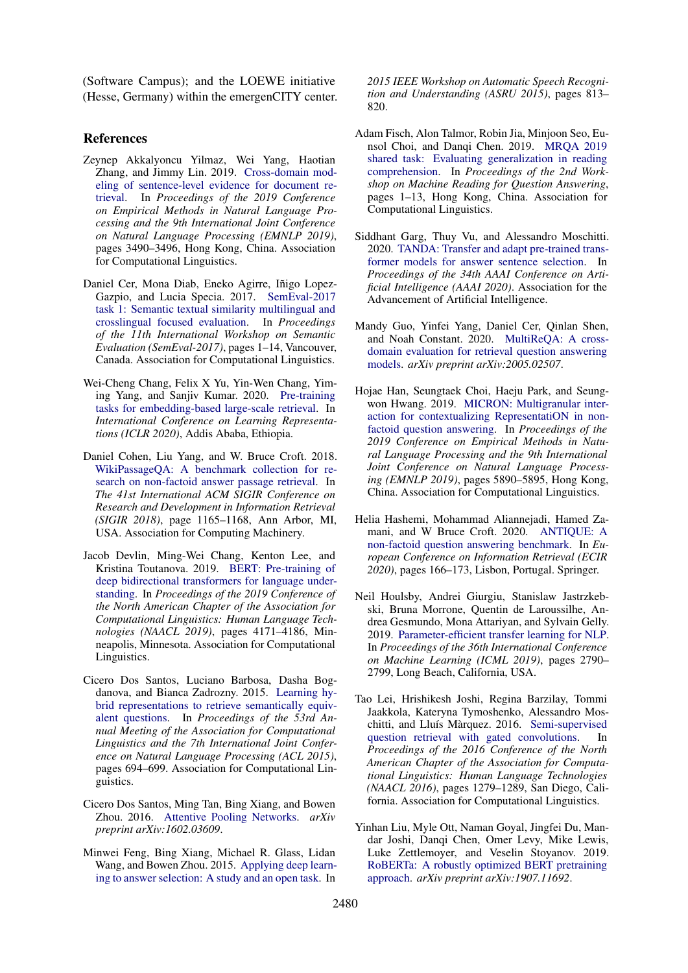(Software Campus); and the LOEWE initiative (Hesse, Germany) within the emergenCITY center.

## References

- <span id="page-9-13"></span>Zeynep Akkalyoncu Yilmaz, Wei Yang, Haotian Zhang, and Jimmy Lin. 2019. [Cross-domain mod](https://doi.org/10.18653/v1/D19-1352)[eling of sentence-level evidence for document re](https://doi.org/10.18653/v1/D19-1352)[trieval.](https://doi.org/10.18653/v1/D19-1352) In *Proceedings of the 2019 Conference on Empirical Methods in Natural Language Processing and the 9th International Joint Conference on Natural Language Processing (EMNLP 2019)*, pages 3490–3496, Hong Kong, China. Association for Computational Linguistics.
- <span id="page-9-0"></span>Daniel Cer, Mona Diab, Eneko Agirre, Iñigo Lopez-Gazpio, and Lucia Specia. 2017. [SemEval-2017](https://doi.org/10.18653/v1/S17-2001) [task 1: Semantic textual similarity multilingual and](https://doi.org/10.18653/v1/S17-2001) [crosslingual focused evaluation.](https://doi.org/10.18653/v1/S17-2001) In *Proceedings of the 11th International Workshop on Semantic Evaluation (SemEval-2017)*, pages 1–14, Vancouver, Canada. Association for Computational Linguistics.
- <span id="page-9-15"></span>Wei-Cheng Chang, Felix X Yu, Yin-Wen Chang, Yiming Yang, and Sanjiv Kumar. 2020. [Pre-training](https://arxiv.org/abs/2002.03932) [tasks for embedding-based large-scale retrieval.](https://arxiv.org/abs/2002.03932) In *International Conference on Learning Representations (ICLR 2020)*, Addis Ababa, Ethiopia.
- <span id="page-9-1"></span>Daniel Cohen, Liu Yang, and W. Bruce Croft. 2018. [WikiPassageQA: A benchmark collection for re](https://doi.org/10.1145/3209978.3210118)[search on non-factoid answer passage retrieval.](https://doi.org/10.1145/3209978.3210118) In *The 41st International ACM SIGIR Conference on Research and Development in Information Retrieval (SIGIR 2018)*, page 1165–1168, Ann Arbor, MI, USA. Association for Computing Machinery.
- <span id="page-9-6"></span>Jacob Devlin, Ming-Wei Chang, Kenton Lee, and Kristina Toutanova. 2019. [BERT: Pre-training of](https://doi.org/10.18653/v1/N19-1423) [deep bidirectional transformers for language under](https://doi.org/10.18653/v1/N19-1423)[standing.](https://doi.org/10.18653/v1/N19-1423) In *Proceedings of the 2019 Conference of the North American Chapter of the Association for Computational Linguistics: Human Language Technologies (NAACL 2019)*, pages 4171–4186, Minneapolis, Minnesota. Association for Computational Linguistics.
- <span id="page-9-12"></span>Cicero Dos Santos, Luciano Barbosa, Dasha Bogdanova, and Bianca Zadrozny. 2015. [Learning hy](https://doi.org/10.3115/v1/P15-2114)[brid representations to retrieve semantically equiv](https://doi.org/10.3115/v1/P15-2114)[alent questions.](https://doi.org/10.3115/v1/P15-2114) In *Proceedings of the 53rd Annual Meeting of the Association for Computational Linguistics and the 7th International Joint Conference on Natural Language Processing (ACL 2015)*, pages 694–699. Association for Computational Linguistics.
- <span id="page-9-8"></span>Cicero Dos Santos, Ming Tan, Bing Xiang, and Bowen Zhou. 2016. [Attentive Pooling Networks.](https://arxiv.org/abs/1602.03609) *arXiv preprint arXiv:1602.03609*.
- <span id="page-9-2"></span>Minwei Feng, Bing Xiang, Michael R. Glass, Lidan Wang, and Bowen Zhou. 2015. [Applying deep learn](https://doi.org/10.1109/ASRU.2015.7404872)[ing to answer selection: A study and an open task.](https://doi.org/10.1109/ASRU.2015.7404872) In

*2015 IEEE Workshop on Automatic Speech Recognition and Understanding (ASRU 2015)*, pages 813– 820.

- <span id="page-9-11"></span>Adam Fisch, Alon Talmor, Robin Jia, Minjoon Seo, Eunsol Choi, and Danqi Chen. 2019. [MRQA 2019](https://doi.org/10.18653/v1/D19-5801) [shared task: Evaluating generalization in reading](https://doi.org/10.18653/v1/D19-5801) [comprehension.](https://doi.org/10.18653/v1/D19-5801) In *Proceedings of the 2nd Workshop on Machine Reading for Question Answering*, pages 1–13, Hong Kong, China. Association for Computational Linguistics.
- <span id="page-9-10"></span>Siddhant Garg, Thuy Vu, and Alessandro Moschitti. 2020. [TANDA: Transfer and adapt pre-trained trans](https://arxiv.org/abs/1911.04118)[former models for answer sentence selection.](https://arxiv.org/abs/1911.04118) In *Proceedings of the 34th AAAI Conference on Artificial Intelligence (AAAI 2020)*. Association for the Advancement of Artificial Intelligence.
- <span id="page-9-4"></span>Mandy Guo, Yinfei Yang, Daniel Cer, Qinlan Shen, and Noah Constant. 2020. [MultiReQA: A cross](https://arxiv.org/abs/2005.02507)[domain evaluation for retrieval question answering](https://arxiv.org/abs/2005.02507) [models.](https://arxiv.org/abs/2005.02507) *arXiv preprint arXiv:2005.02507*.
- <span id="page-9-14"></span>Hojae Han, Seungtaek Choi, Haeju Park, and Seungwon Hwang. 2019. [MICRON: Multigranular inter](https://doi.org/10.18653/v1/D19-1601)[action for contextualizing RepresentatiON in non](https://doi.org/10.18653/v1/D19-1601)[factoid question answering.](https://doi.org/10.18653/v1/D19-1601) In *Proceedings of the 2019 Conference on Empirical Methods in Natural Language Processing and the 9th International Joint Conference on Natural Language Processing (EMNLP 2019)*, pages 5890–5895, Hong Kong, China. Association for Computational Linguistics.
- <span id="page-9-9"></span>Helia Hashemi, Mohammad Aliannejadi, Hamed Zamani, and W Bruce Croft. 2020. [ANTIQUE: A](https://arxiv.org/abs/1905.08957) [non-factoid question answering benchmark.](https://arxiv.org/abs/1905.08957) In *European Conference on Information Retrieval (ECIR 2020)*, pages 166–173, Lisbon, Portugal. Springer.
- <span id="page-9-5"></span>Neil Houlsby, Andrei Giurgiu, Stanislaw Jastrzkebski, Bruna Morrone, Quentin de Laroussilhe, Andrea Gesmundo, Mona Attariyan, and Sylvain Gelly. 2019. [Parameter-efficient transfer learning for NLP.](http://proceedings.mlr.press/v97/houlsby19a.html) In *Proceedings of the 36th International Conference on Machine Learning (ICML 2019)*, pages 2790– 2799, Long Beach, California, USA.
- <span id="page-9-3"></span>Tao Lei, Hrishikesh Joshi, Regina Barzilay, Tommi Jaakkola, Kateryna Tymoshenko, Alessandro Mos-chitti, and Lluís Màrquez. 2016. [Semi-supervised](https://doi.org/10.18653/v1/N16-1153) [question retrieval with gated convolutions.](https://doi.org/10.18653/v1/N16-1153) In *Proceedings of the 2016 Conference of the North American Chapter of the Association for Computational Linguistics: Human Language Technologies (NAACL 2016)*, pages 1279–1289, San Diego, California. Association for Computational Linguistics.
- <span id="page-9-7"></span>Yinhan Liu, Myle Ott, Naman Goyal, Jingfei Du, Mandar Joshi, Danqi Chen, Omer Levy, Mike Lewis, Luke Zettlemoyer, and Veselin Stoyanov. 2019. [RoBERTa: A robustly optimized BERT pretraining](https://arxiv.org/abs/1907.11692) [approach.](https://arxiv.org/abs/1907.11692) *arXiv preprint arXiv:1907.11692*.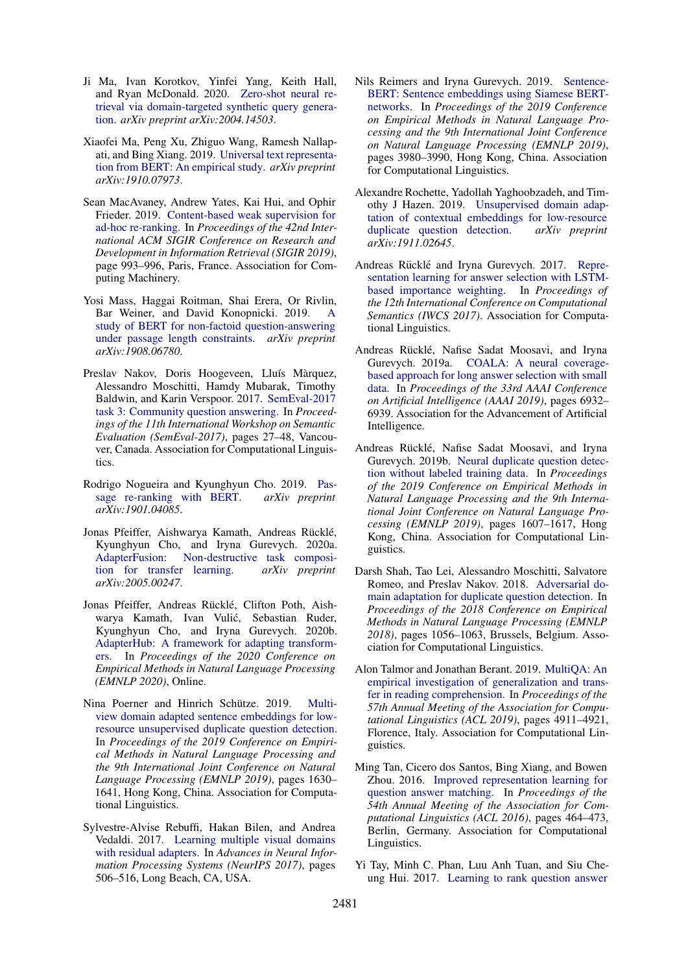- <span id="page-10-14"></span>Ji Ma, Ivan Korotkov, Yinfei Yang, Keith Hall, and Ryan McDonald. 2020. [Zero-shot neural re](https://arxiv.org/abs/2004.14503)[trieval via domain-targeted synthetic query genera](https://arxiv.org/abs/2004.14503)[tion.](https://arxiv.org/abs/2004.14503) *arXiv preprint arXiv:2004.14503*.
- <span id="page-10-18"></span>Xiaofei Ma, Peng Xu, Zhiguo Wang, Ramesh Nallapati, and Bing Xiang. 2019. [Universal text representa](https://arxiv.org/abs/1910.07973)[tion from BERT: An empirical study.](https://arxiv.org/abs/1910.07973) *arXiv preprint arXiv:1910.07973*.
- <span id="page-10-15"></span>Sean MacAvaney, Andrew Yates, Kai Hui, and Ophir Frieder. 2019. [Content-based weak supervision for](https://doi.org/10.1145/3331184.3331316) [ad-hoc re-ranking.](https://doi.org/10.1145/3331184.3331316) In *Proceedings of the 42nd International ACM SIGIR Conference on Research and Development in Information Retrieval (SIGIR 2019)*, page 993–996, Paris, France. Association for Computing Machinery.
- <span id="page-10-11"></span>Yosi Mass, Haggai Roitman, Shai Erera, Or Rivlin, Bar Weiner, and David Konopnicki. 2019. [A](https://arxiv.org/abs/1908.06780) [study of BERT for non-factoid question-answering](https://arxiv.org/abs/1908.06780) [under passage length constraints.](https://arxiv.org/abs/1908.06780) *arXiv preprint arXiv:1908.06780*.
- <span id="page-10-0"></span>Preslav Nakov, Doris Hoogeveen, Lluís Màrquez, Alessandro Moschitti, Hamdy Mubarak, Timothy Baldwin, and Karin Verspoor. 2017. [SemEval-2017](https://doi.org/10.18653/v1/S17-2003) [task 3: Community question answering.](https://doi.org/10.18653/v1/S17-2003) In *Proceedings of the 11th International Workshop on Semantic Evaluation (SemEval-2017)*, pages 27–48, Vancouver, Canada. Association for Computational Linguistics.
- <span id="page-10-13"></span>Rodrigo Nogueira and Kyunghyun Cho. 2019. [Pas](https://arxiv.org/abs/1901.04085)[sage re-ranking with BERT.](https://arxiv.org/abs/1901.04085) *arXiv preprint arXiv:1901.04085*.
- <span id="page-10-7"></span>Jonas Pfeiffer, Aishwarya Kamath, Andreas Rücklé, Kyunghyun Cho, and Iryna Gurevych. 2020a. [AdapterFusion: Non-destructive task composi](https://arxiv.org/abs/2005.00247)[tion for transfer learning.](https://arxiv.org/abs/2005.00247) *arXiv preprint arXiv:2005.00247*.
- <span id="page-10-8"></span>Jonas Pfeiffer, Andreas Rücklé, Clifton Poth, Aishwarya Kamath, Ivan Vulić, Sebastian Ruder, Kyunghyun Cho, and Iryna Gurevych. 2020b. [AdapterHub: A framework for adapting transform](https://arxiv.org/abs/2007.07779)[ers.](https://arxiv.org/abs/2007.07779) In *Proceedings of the 2020 Conference on Empirical Methods in Natural Language Processing (EMNLP 2020)*, Online.
- <span id="page-10-3"></span>Nina Poerner and Hinrich Schütze. 2019. [Multi](https://doi.org/10.18653/v1/D19-1173)[view domain adapted sentence embeddings for low](https://doi.org/10.18653/v1/D19-1173)[resource unsupervised duplicate question detection.](https://doi.org/10.18653/v1/D19-1173) In *Proceedings of the 2019 Conference on Empirical Methods in Natural Language Processing and the 9th International Joint Conference on Natural Language Processing (EMNLP 2019)*, pages 1630– 1641, Hong Kong, China. Association for Computational Linguistics.
- <span id="page-10-6"></span>Sylvestre-Alvise Rebuffi, Hakan Bilen, and Andrea Vedaldi. 2017. [Learning multiple visual domains](http://papers.nips.cc/paper/6654-learning-multiple-visual-domains-with-residual-adapters) [with residual adapters.](http://papers.nips.cc/paper/6654-learning-multiple-visual-domains-with-residual-adapters) In *Advances in Neural Information Processing Systems (NeurIPS 2017)*, pages 506–516, Long Beach, CA, USA.
- <span id="page-10-17"></span>Nils Reimers and Iryna Gurevych. 2019. [Sentence-](https://doi.org/10.18653/v1/D19-1410)[BERT: Sentence embeddings using Siamese BERT](https://doi.org/10.18653/v1/D19-1410)[networks.](https://doi.org/10.18653/v1/D19-1410) In *Proceedings of the 2019 Conference on Empirical Methods in Natural Language Processing and the 9th International Joint Conference on Natural Language Processing (EMNLP 2019)*, pages 3980–3990, Hong Kong, China. Association for Computational Linguistics.
- <span id="page-10-12"></span>Alexandre Rochette, Yadollah Yaghoobzadeh, and Timothy J Hazen. 2019. [Unsupervised domain adap](https://arxiv.org/abs/1911.02645)[tation of contextual embeddings for low-resource](https://arxiv.org/abs/1911.02645) [duplicate question detection.](https://arxiv.org/abs/1911.02645) *arXiv preprint arXiv:1911.02645*.
- <span id="page-10-10"></span>Andreas Rücklé and Iryna Gurevych. 2017. [Repre](https://www.aclweb.org/anthology/W17-6935)[sentation learning for answer selection with LSTM](https://www.aclweb.org/anthology/W17-6935)[based importance weighting.](https://www.aclweb.org/anthology/W17-6935) In *Proceedings of the 12th International Conference on Computational Semantics (IWCS 2017)*. Association for Computational Linguistics.
- <span id="page-10-5"></span>Andreas Rücklé, Nafise Sadat Moosavi, and Irvna Gurevych. 2019a. [COALA: A neural coverage](https://doi.org/10.1609/aaai.v33i01.33016932)[based approach for long answer selection with small](https://doi.org/10.1609/aaai.v33i01.33016932) [data.](https://doi.org/10.1609/aaai.v33i01.33016932) In *Proceedings of the 33rd AAAI Conference on Artificial Intelligence (AAAI 2019)*, pages 6932– 6939. Association for the Advancement of Artificial Intelligence.
- <span id="page-10-4"></span>Andreas Rücklé, Nafise Sadat Moosavi, and Iryna Gurevych. 2019b. [Neural duplicate question detec](https://doi.org/10.18653/v1/D19-1171)[tion without labeled training data.](https://doi.org/10.18653/v1/D19-1171) In *Proceedings of the 2019 Conference on Empirical Methods in Natural Language Processing and the 9th International Joint Conference on Natural Language Processing (EMNLP 2019)*, pages 1607–1617, Hong Kong, China. Association for Computational Linguistics.
- <span id="page-10-2"></span>Darsh Shah, Tao Lei, Alessandro Moschitti, Salvatore Romeo, and Preslav Nakov. 2018. [Adversarial do](https://doi.org/10.18653/v1/D18-1131)[main adaptation for duplicate question detection.](https://doi.org/10.18653/v1/D18-1131) In *Proceedings of the 2018 Conference on Empirical Methods in Natural Language Processing (EMNLP 2018)*, pages 1056–1063, Brussels, Belgium. Association for Computational Linguistics.
- <span id="page-10-16"></span>Alon Talmor and Jonathan Berant. 2019. [MultiQA: An](https://doi.org/10.18653/v1/P19-1485) [empirical investigation of generalization and trans](https://doi.org/10.18653/v1/P19-1485)[fer in reading comprehension.](https://doi.org/10.18653/v1/P19-1485) In *Proceedings of the 57th Annual Meeting of the Association for Computational Linguistics (ACL 2019)*, pages 4911–4921, Florence, Italy. Association for Computational Linguistics.
- <span id="page-10-9"></span>Ming Tan, Cicero dos Santos, Bing Xiang, and Bowen Zhou. 2016. [Improved representation learning for](https://doi.org/10.18653/v1/P16-1044) [question answer matching.](https://doi.org/10.18653/v1/P16-1044) In *Proceedings of the 54th Annual Meeting of the Association for Computational Linguistics (ACL 2016)*, pages 464–473, Berlin, Germany. Association for Computational Linguistics.
- <span id="page-10-1"></span>Yi Tay, Minh C. Phan, Luu Anh Tuan, and Siu Cheung Hui. 2017. [Learning to rank question answer](https://doi.org/10.1145/3077136.3080790)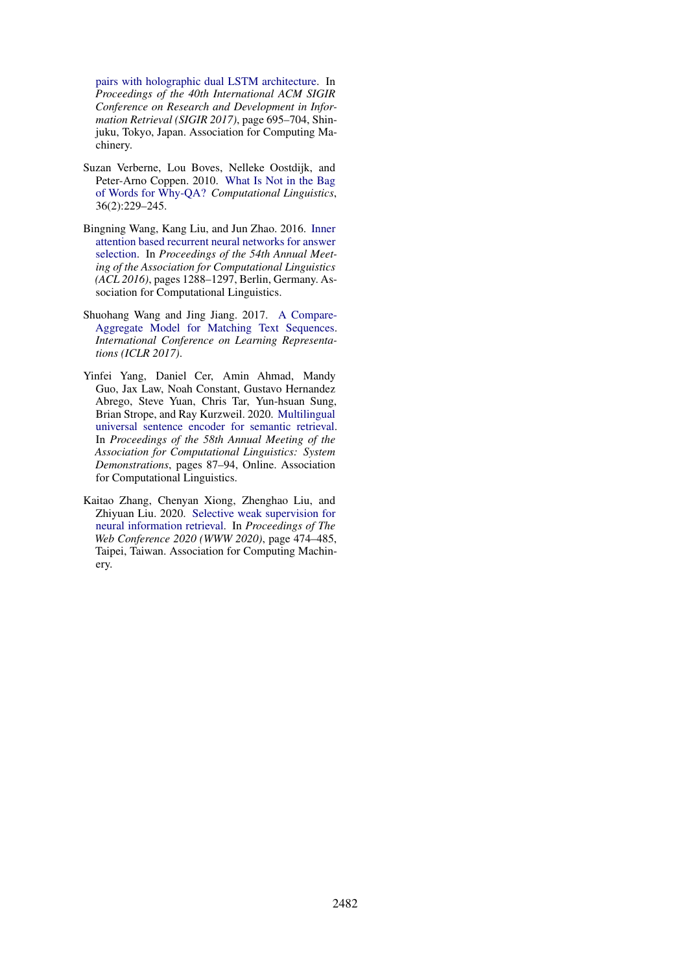[pairs with holographic dual LSTM architecture.](https://doi.org/10.1145/3077136.3080790) In *Proceedings of the 40th International ACM SIGIR Conference on Research and Development in Information Retrieval (SIGIR 2017)*, page 695–704, Shinjuku, Tokyo, Japan. Association for Computing Machinery.

- <span id="page-11-1"></span>Suzan Verberne, Lou Boves, Nelleke Oostdijk, and Peter-Arno Coppen. 2010. [What Is Not in the Bag](https://doi.org/10.1162/coli.2010.09-032-R1-08-034) [of Words for Why-QA?](https://doi.org/10.1162/coli.2010.09-032-R1-08-034) *Computational Linguistics*, 36(2):229–245.
- <span id="page-11-3"></span>Bingning Wang, Kang Liu, and Jun Zhao. 2016. [Inner](https://doi.org/10.18653/v1/P16-1122) [attention based recurrent neural networks for answer](https://doi.org/10.18653/v1/P16-1122) [selection.](https://doi.org/10.18653/v1/P16-1122) In *Proceedings of the 54th Annual Meeting of the Association for Computational Linguistics (ACL 2016)*, pages 1288–1297, Berlin, Germany. Association for Computational Linguistics.
- <span id="page-11-0"></span>Shuohang Wang and Jing Jiang. 2017. [A Compare-](https://arxiv.org/abs/1611.01747)[Aggregate Model for Matching Text Sequences.](https://arxiv.org/abs/1611.01747) *International Conference on Learning Representations (ICLR 2017)*.
- <span id="page-11-2"></span>Yinfei Yang, Daniel Cer, Amin Ahmad, Mandy Guo, Jax Law, Noah Constant, Gustavo Hernandez Abrego, Steve Yuan, Chris Tar, Yun-hsuan Sung, Brian Strope, and Ray Kurzweil. 2020. [Multilingual](https://doi.org/10.18653/v1/2020.acl-demos.12) [universal sentence encoder for semantic retrieval.](https://doi.org/10.18653/v1/2020.acl-demos.12) In *Proceedings of the 58th Annual Meeting of the Association for Computational Linguistics: System Demonstrations*, pages 87–94, Online. Association for Computational Linguistics.
- <span id="page-11-4"></span>Kaitao Zhang, Chenyan Xiong, Zhenghao Liu, and Zhiyuan Liu. 2020. [Selective weak supervision for](https://doi.org/10.1145/3366423.3380131) [neural information retrieval.](https://doi.org/10.1145/3366423.3380131) In *Proceedings of The Web Conference 2020 (WWW 2020)*, page 474–485, Taipei, Taiwan. Association for Computing Machinery.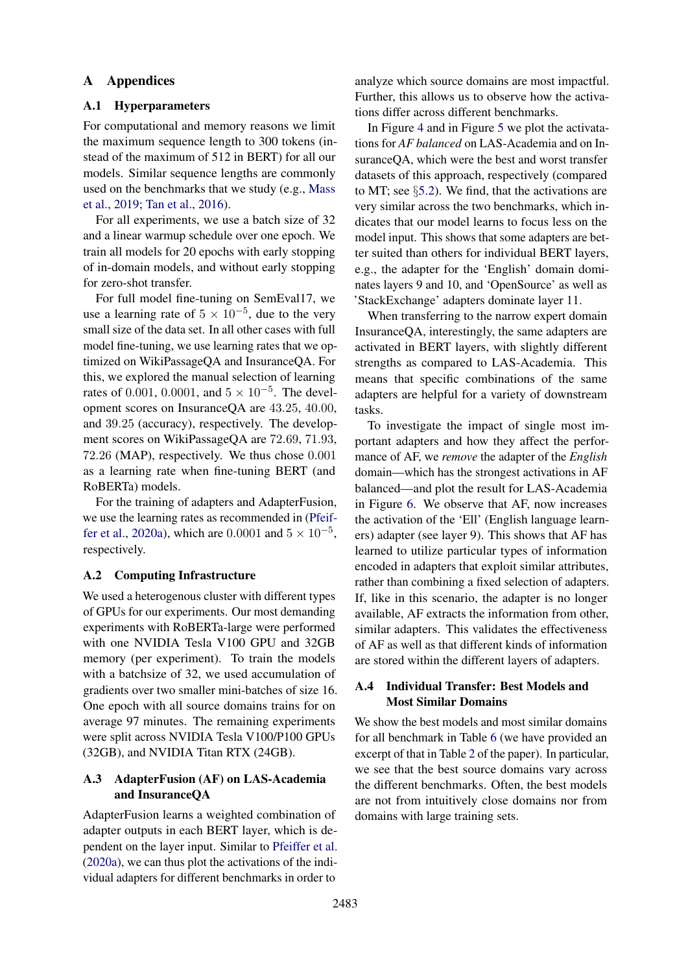#### A Appendices

### <span id="page-12-0"></span>A.1 Hyperparameters

For computational and memory reasons we limit the maximum sequence length to 300 tokens (instead of the maximum of 512 in BERT) for all our models. Similar sequence lengths are commonly used on the benchmarks that we study (e.g., [Mass](#page-10-11) [et al.,](#page-10-11) [2019;](#page-10-11) [Tan et al.,](#page-10-9) [2016\)](#page-10-9).

For all experiments, we use a batch size of 32 and a linear warmup schedule over one epoch. We train all models for 20 epochs with early stopping of in-domain models, and without early stopping for zero-shot transfer.

For full model fine-tuning on SemEval17, we use a learning rate of  $5 \times 10^{-5}$ , due to the very small size of the data set. In all other cases with full model fine-tuning, we use learning rates that we optimized on WikiPassageQA and InsuranceQA. For this, we explored the manual selection of learning rates of 0.001, 0.0001, and  $5 \times 10^{-5}$ . The development scores on InsuranceQA are 43.25, 40.00, and 39.25 (accuracy), respectively. The development scores on WikiPassageQA are 72.69, 71.93, 72.26 (MAP), respectively. We thus chose 0.001 as a learning rate when fine-tuning BERT (and RoBERTa) models.

For the training of adapters and AdapterFusion, we use the learning rates as recommended in [\(Pfeif](#page-10-7)[fer et al.,](#page-10-7) [2020a\)](#page-10-7), which are 0.0001 and  $5 \times 10^{-5}$ , respectively.

#### A.2 Computing Infrastructure

We used a heterogenous cluster with different types of GPUs for our experiments. Our most demanding experiments with RoBERTa-large were performed with one NVIDIA Tesla V100 GPU and 32GB memory (per experiment). To train the models with a batchsize of 32, we used accumulation of gradients over two smaller mini-batches of size 16. One epoch with all source domains trains for on average 97 minutes. The remaining experiments were split across NVIDIA Tesla V100/P100 GPUs (32GB), and NVIDIA Titan RTX (24GB).

## <span id="page-12-2"></span>A.3 AdapterFusion (AF) on LAS-Academia and InsuranceQA

AdapterFusion learns a weighted combination of adapter outputs in each BERT layer, which is dependent on the layer input. Similar to [Pfeiffer et al.](#page-10-7) [\(2020a\)](#page-10-7), we can thus plot the activations of the individual adapters for different benchmarks in order to

analyze which source domains are most impactful. Further, this allows us to observe how the activations differ across different benchmarks.

In Figure [4](#page-13-0) and in Figure [5](#page-13-0) we plot the activatations for *AF balanced* on LAS-Academia and on InsuranceQA, which were the best and worst transfer datasets of this approach, respectively (compared to MT; see  $\S$ [5.2\)](#page-7-1). We find, that the activations are very similar across the two benchmarks, which indicates that our model learns to focus less on the model input. This shows that some adapters are better suited than others for individual BERT layers, e.g., the adapter for the 'English' domain dominates layers 9 and 10, and 'OpenSource' as well as 'StackExchange' adapters dominate layer 11.

When transferring to the narrow expert domain InsuranceQA, interestingly, the same adapters are activated in BERT layers, with slightly different strengths as compared to LAS-Academia. This means that specific combinations of the same adapters are helpful for a variety of downstream tasks.

To investigate the impact of single most important adapters and how they affect the performance of AF, we *remove* the adapter of the *English* domain—which has the strongest activations in AF balanced—and plot the result for LAS-Academia in Figure [6.](#page-13-0) We observe that AF, now increases the activation of the 'Ell' (English language learners) adapter (see layer 9). This shows that AF has learned to utilize particular types of information encoded in adapters that exploit similar attributes, rather than combining a fixed selection of adapters. If, like in this scenario, the adapter is no longer available, AF extracts the information from other, similar adapters. This validates the effectiveness of AF as well as that different kinds of information are stored within the different layers of adapters.

#### <span id="page-12-1"></span>A.4 Individual Transfer: Best Models and Most Similar Domains

We show the best models and most similar domains for all benchmark in Table [6](#page-14-2) (we have provided an excerpt of that in Table [2](#page-6-0) of the paper). In particular, we see that the best source domains vary across the different benchmarks. Often, the best models are not from intuitively close domains nor from domains with large training sets.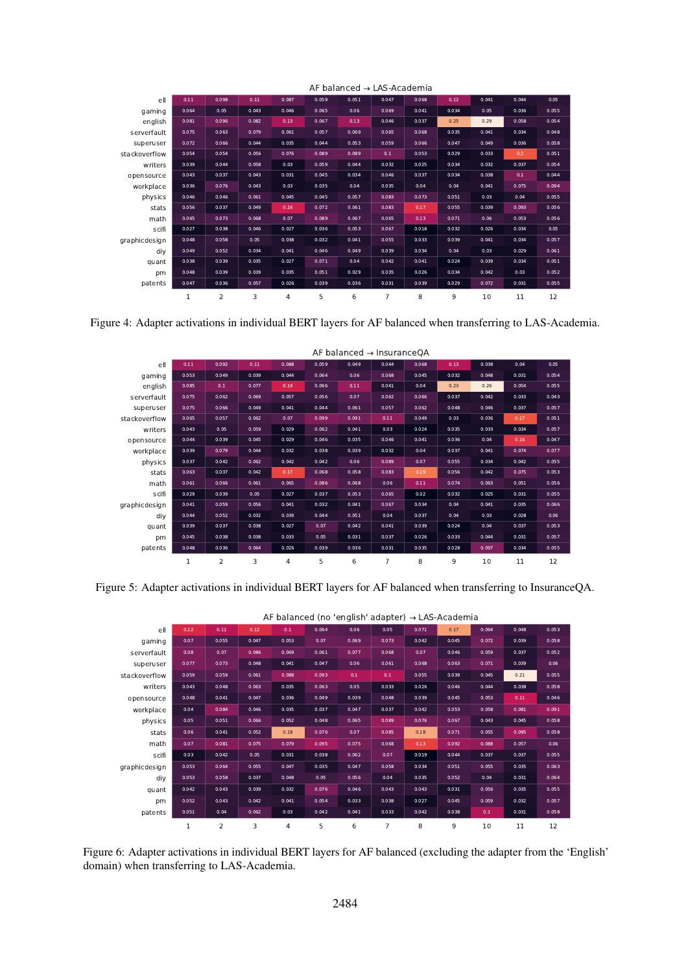<span id="page-13-0"></span>

|               |              |                |       |                |       | AF balanced → LAS-Academia |                |       |       |       |       |       |
|---------------|--------------|----------------|-------|----------------|-------|----------------------------|----------------|-------|-------|-------|-------|-------|
| ell           | 0.11         | 0.098          | 0.11  | 0.087          | 0.059 | 0.051                      | 0.047          | 0.068 | 0.12  | 0.041 | 0.044 | 0.05  |
| gaming        | 0.064        | 0.05           | 0.043 | 0.046          | 0.065 | 0.06                       | 0.069          | 0.041 | 0.034 | 0.05  | 0.036 | 0.055 |
| english       | 0.081        | 0.096          | 0.082 | 0.13           | 0.067 | 0.13                       | 0.046          | 0.037 | 0.25  | 0.29  | 0.058 | 0.054 |
| serverfault   | 0.075        | 0.063          | 0.079 | 0.061          | 0.057 | 0.069                      | 0.065          | 0.068 | 0.035 | 0.041 | 0.034 | 0.048 |
| superuser     | 0.072        | 0.066          | 0.044 | 0.035          | 0.044 | 0.053                      | 0.059          | 0.066 | 0.047 | 0.049 | 0.036 | 0.058 |
| stackoverflow | 0.054        | 0.054          | 0.056 | 0.076          | 0.089 | 0.089                      | 0.1            | 0.053 | 0.029 | 0.033 | 0.2   | 0.051 |
| writers       | 0.039        | 0.044          | 0.058 | 0.03           | 0.059 | 0.044                      | 0.032          | 0.025 | 0.034 | 0.032 | 0.037 | 0.054 |
| opensource    | 0.043        | 0.037          | 0.043 | 0.031          | 0.045 | 0.034                      | 0.046          | 0.037 | 0.034 | 0.038 | 0.1   | 0.044 |
| workplace     | 0.036        | 0.076          | 0.043 | 0.03           | 0.035 | 0.04                       | 0.035          | 0.04  | 0.04  | 0.041 | 0.075 | 0.094 |
| physics       | 0.046        | 0.046          | 0.061 | 0.045          | 0.045 | 0.057                      | 0.083          | 0.073 | 0.051 | 0.03  | 0.04  | 0.055 |
| stats         | 0.056        | 0.037          | 0.049 | 0.16           | 0.072 | 0.061                      | 0.083          | 0.17  | 0.055 | 0.039 | 0.093 | 0.056 |
| math          | 0.065        | 0.073          | 0.068 | 0.07           | 0.089 | 0.067                      | 0.065          | 0.13  | 0.071 | 0.06  | 0.053 | 0.056 |
| scifi         | 0.027        | 0.038          | 0.046 | 0.027          | 0.036 | 0.053                      | 0.067          | 0.018 | 0.032 | 0.026 | 0.034 | 0.05  |
| graphicdesign | 0.048        | 0.058          | 0.05  | 0.038          | 0.032 | 0.041                      | 0.055          | 0.033 | 0.039 | 0.041 | 0.034 | 0.057 |
| diy           | 0.049        | 0.052          | 0.034 | 0.041          | 0.046 | 0.049                      | 0.039          | 0.034 | 0.04  | 0.03  | 0.029 | 0.061 |
| quant         | 0.038        | 0.039          | 0.035 | 0.027          | 0.071 | 0.04                       | 0.042          | 0.041 | 0.024 | 0.039 | 0.034 | 0.051 |
| pm            | 0.048        | 0.039          | 0.039 | 0.035          | 0.051 | 0.029                      | 0.035          | 0.026 | 0.034 | 0.042 | 0.03  | 0.052 |
| patents       | 0.047        | 0.036          | 0.057 | 0.026          | 0.039 | 0.036                      | 0.031          | 0.039 | 0.029 | 0.072 | 0.031 | 0.055 |
|               | $\mathbf{1}$ | $\overline{2}$ | 3     | $\overline{4}$ | 5     | 6                          | $\overline{7}$ | 8     | 9     | 10    | 11    | 12    |

Figure 4: Adapter activations in individual BERT layers for AF balanced when transferring to LAS-Academia.

|               |              |       |       |       |       | AF balanced $\rightarrow$ InsuranceQA |                |       |       |       |       |       |
|---------------|--------------|-------|-------|-------|-------|---------------------------------------|----------------|-------|-------|-------|-------|-------|
| ell           | 0.11         | 0.092 | 0.11  | 0.088 | 0.059 | 0.049                                 | 0.044          | 0.068 | 0.13  | 0.038 | 0.04  | 0.05  |
| gaming        | 0.053        | 0.049 | 0.039 | 0.044 | 0.064 | 0.06                                  | 0.068          | 0.045 | 0.032 | 0.048 | 0.031 | 0.054 |
| english       | 0.085        | 0.1   | 0.077 | 0.14  | 0.066 | 0.11                                  | 0.041          | 0.04  | 0.23  | 0.26  | 0.054 | 0.055 |
| serverfault   | 0.075        | 0.062 | 0.069 | 0.057 | 0.056 | 0.07                                  | 0.062          | 0.066 | 0.037 | 0.042 | 0.033 | 0.043 |
| superuser     | 0.075        | 0.066 | 0.049 | 0.041 | 0.044 | 0.061                                 | 0.057          | 0.062 | 0.048 | 0.046 | 0.037 | 0.057 |
| stackoverflow | 0.065        | 0.057 | 0.062 | 0.07  | 0.099 | 0.091                                 | 0.11           | 0.049 | 0.03  | 0.036 | 0.17  | 0.051 |
| writers       | 0.043        | 0.05  | 0.059 | 0.029 | 0.062 | 0.041                                 | 0.03           | 0.024 | 0.035 | 0.033 | 0.034 | 0.057 |
| opensource    | 0.044        | 0.039 | 0.045 | 0.029 | 0.046 | 0.035                                 | 0.046          | 0.041 | 0.036 | 0.04  | 0.16  | 0.047 |
| workplace     | 0.039        | 0.079 | 0.044 | 0.032 | 0.038 | 0.039                                 | 0.032          | 0.04  | 0.037 | 0.041 | 0.074 | 0.077 |
| physics       | 0.037        | 0.042 | 0.062 | 0.042 | 0.042 | 0.06                                  | 0.089          | 0.07  | 0.055 | 0.034 | 0.042 | 0.055 |
| stats         | 0.063        | 0.037 | 0.042 | 0.17  | 0.068 | 0.058                                 | 0.083          | 0.19  | 0.056 | 0.042 | 0.075 | 0.053 |
| math          | 0.061        | 0.066 | 0.061 | 0.065 | 0.086 | 0.068                                 | 0.06           | 0.11  | 0.074 | 0.063 | 0.051 | 0.056 |
| scifi         | 0.029        | 0.039 | 0.05  | 0.027 | 0.037 | 0.053                                 | 0.065          | 0.02  | 0.032 | 0.025 | 0.031 | 0.055 |
| graphicdesign | 0.041        | 0.059 | 0.056 | 0.041 | 0.032 | 0.041                                 | 0.067          | 0.034 | 0.04  | 0.041 | 0.035 | 0.066 |
| div           | 0.044        | 0.052 | 0.032 | 0.039 | 0.044 | 0.051                                 | 0.04           | 0.037 | 0.04  | 0.03  | 0.028 | 0.06  |
| quant         | 0.039        | 0.037 | 0.038 | 0.027 | 0.07  | 0.042                                 | 0.041          | 0.039 | 0.024 | 0.04  | 0.037 | 0.053 |
| pm            | 0.045        | 0.038 | 0.038 | 0.033 | 0.05  | 0.031                                 | 0.037          | 0.026 | 0.033 | 0.044 | 0.031 | 0.057 |
| patents       | 0.048        | 0.036 | 0.064 | 0.026 | 0.039 | 0.036                                 | 0.031          | 0.035 | 0.028 | 0.097 | 0.034 | 0.055 |
|               | $\mathbf{1}$ | 2     | 3     | 4     | 5     | 6                                     | $\overline{7}$ | 8     | 9     | 10    | 11    | 12    |

Figure 5: Adapter activations in individual BERT layers for AF balanced when transferring to InsuranceQA.

|               |       |       |       |       |       |       | AF balanced (no 'english' adapter) $\rightarrow$ LAS-Academia |       |       |       |       |       |
|---------------|-------|-------|-------|-------|-------|-------|---------------------------------------------------------------|-------|-------|-------|-------|-------|
| ell           | 0.12  | 0.11  | 0.12  | 0.1   | 0.064 | 0.06  | 0.05                                                          | 0.071 | 0.17  | 0.064 | 0.048 | 0.053 |
| gaming        | 0.07  | 0.055 | 0.047 | 0.053 | 0.07  | 0.069 | 0.073                                                         | 0.042 | 0.045 | 0.072 | 0.039 | 0.058 |
| serverfault   | 0.08  | 0.07  | 0.086 | 0.069 | 0.061 | 0.077 | 0.068                                                         | 0.07  | 0.046 | 0.059 | 0.037 | 0.052 |
| superuser     | 0.077 | 0.073 | 0.048 | 0.041 | 0.047 | 0.06  | 0.061                                                         | 0.068 | 0.063 | 0.071 | 0.039 | 0.06  |
| stackoverflow | 0.059 | 0.059 | 0.061 | 0.088 | 0.093 | 0.1   | 0.1                                                           | 0.055 | 0.039 | 0.045 | 0.21  | 0.055 |
| writers       | 0.043 | 0.048 | 0.063 | 0.035 | 0.063 | 0.05  | 0.033                                                         | 0.026 | 0.046 | 0.044 | 0.038 | 0.058 |
| opensource    | 0.048 | 0.041 | 0.047 | 0.036 | 0.049 | 0.039 | 0.048                                                         | 0.039 | 0.045 | 0.053 | 0.11  | 0.046 |
| workplace     | 0.04  | 0.084 | 0.046 | 0.035 | 0.037 | 0.047 | 0.037                                                         | 0.042 | 0.053 | 0.058 | 0.081 | 0.091 |
| physics       | 0.05  | 0.051 | 0.066 | 0.052 | 0.048 | 0.065 | 0.089                                                         | 0.076 | 0.067 | 0.043 | 0.045 | 0.058 |
| stats         | 0.06  | 0.041 | 0.052 | 0.18  | 0.076 | 0.07  | 0.085                                                         | 0.18  | 0.071 | 0.055 | 0.095 | 0.058 |
| math          | 0.07  | 0.081 | 0.075 | 0.079 | 0.095 | 0.075 | 0.068                                                         | 0.13  | 0.092 | 0.088 | 0.057 | 0.06  |
| scifi         | 0.03  | 0.042 | 0.05  | 0.031 | 0.038 | 0.062 | 0.07                                                          | 0.019 | 0.044 | 0.037 | 0.037 | 0.055 |
| graphicdesign | 0.053 | 0.064 | 0.055 | 0.047 | 0.035 | 0.047 | 0.058                                                         | 0.034 | 0.051 | 0.055 | 0.035 | 0.063 |
| div           | 0.053 | 0.058 | 0.037 | 0.048 | 0.05  | 0.056 | 0.04                                                          | 0.035 | 0.052 | 0.04  | 0.031 | 0.064 |
| quant         | 0.042 | 0.043 | 0.039 | 0.032 | 0.076 | 0.046 | 0.043                                                         | 0.043 | 0.031 | 0.056 | 0.035 | 0.055 |
| pm            | 0.052 | 0.043 | 0.042 | 0.041 | 0.054 | 0.033 | 0.038                                                         | 0.027 | 0.045 | 0.059 | 0.032 | 0.057 |
| patents       | 0.051 | 0.04  | 0.062 | 0.03  | 0.042 | 0.041 | 0.033                                                         | 0.042 | 0.038 | 0.1   | 0.031 | 0.058 |
|               | 1     | 2     | 3     | 4     | 5     | 6     | $\overline{7}$                                                | 8     | 9     | 10    | 11    | 12    |

Figure 6: Adapter activations in individual BERT layers for AF balanced (excluding the adapter from the 'English' domain) when transferring to LAS-Academia.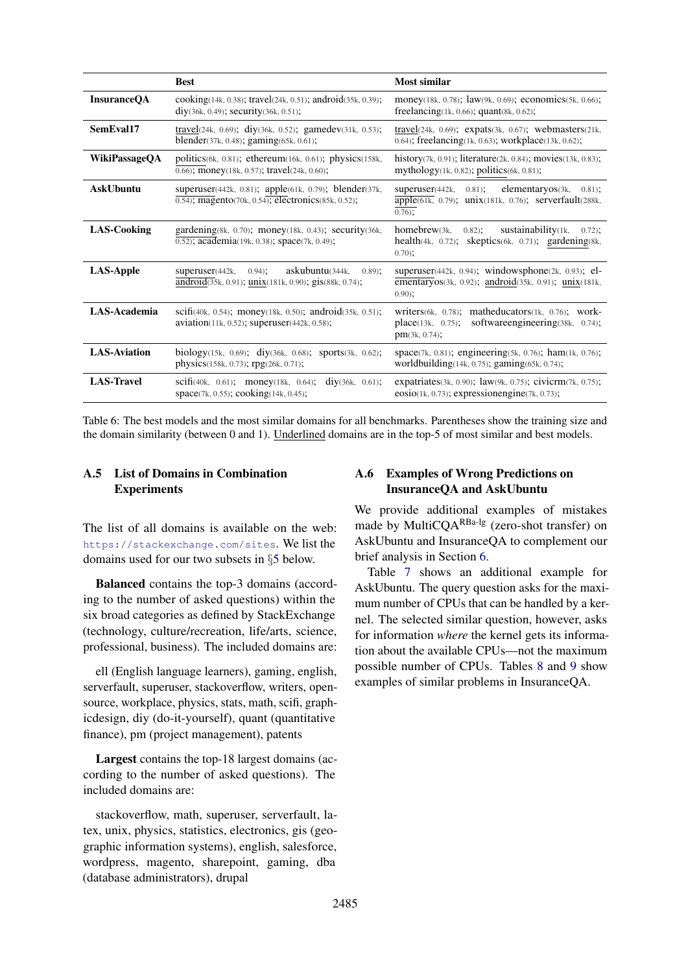<span id="page-14-2"></span>

|                      | <b>Best</b>                                                                                                                         | Most similar                                                                                                                                         |
|----------------------|-------------------------------------------------------------------------------------------------------------------------------------|------------------------------------------------------------------------------------------------------------------------------------------------------|
| <b>InsuranceQA</b>   | cooking(14k, 0.38); travel(24k, 0.51); android(35k, 0.39);<br>diy(36k, 0.49); security(36k, 0.51);                                  | money(18k, 0.78); $law(9k, 0.69)$ ; economics(5k, 0.66);<br>freelancing $(1k, 0.66)$ ; quant $(8k, 0.62)$ ;                                          |
| SemEval17            | travel(24k, 0.69); diy(36k, 0.52); gamedev(31k, 0.53);<br>blender(37k, 0.48); gaming(65k, 0.61);                                    | travel $(24k, 0.69)$ ; expats $(3k, 0.67)$ ; webmasters $(21k,$<br>0.64); freelancing(1k, 0.63); workplace(13k, 0.62);                               |
| <b>WikiPassageQA</b> | politics $(6k, 0.81)$ ; ethereum $(16k, 0.61)$ ; physics $(158k, 0.61)$<br>$\overline{0.66}$ ; money(18k, 0.57); travel(24k, 0.60); | history(7k, 0.91); literature(2k, 0.84); movies(13k, 0.83);<br>mythology(1k, 0.82); politics(6k, 0.81);                                              |
| <b>AskUbuntu</b>     | superuser(442k, 0.81); apple(61k, 0.79); blender(37k,<br>$\overline{0.54}$ ; magento(70k, 0.54); electronics(85k, 0.52);            | $0.81$ ;<br>elementaryos(3k,<br>superuser(442k,<br>$0.81$ ;<br>apple(61k, 0.79); unix(181k, 0.76); serverfault(288k,<br>$0.76$ ;                     |
| LAS-Cooking          | gardening(8k, 0.70); money(18k, 0.43); security(36k,<br>0.52); academia(19k, 0.38); space(7k, 0.49);                                | homebrew(3k,<br>sustainability(1k,<br>$0.82$ ;<br>$0.72$ :<br>health $(4k, 0.72)$ ;<br>$s$ keptics $(6k, 0.71)$ ; gardening $(8k, 0.71)$<br>$0.70$ ; |
| <b>LAS-Apple</b>     | askubuntu(344k,<br>superuser(442k,<br>$0.94$ :<br>$0.89$ ;<br>android(35k, 0.91); unix(181k, 0.90); gis(88k, 0.74);                 | superuser(442k, 0.94); windowsphone(2k, 0.93); el-<br>ementaryos(3k, 0.92); android(35k, 0.91); unix(181k,<br>$0.90$ :                               |
| LAS-Academia         | scifi(40k, 0.54); money(18k, 0.50); android(35k, 0.51);<br>$aviation(11k, 0.52)$ ; superuser(442k, 0.58);                           | writers $(6k, 0.78)$ ; matheducators $(1k, 0.76)$ ; work-<br>software engineering (38k, 0.74);<br>place(13k, 0.75);<br>pm(3k, 0.74);                 |
| <b>LAS-Aviation</b>  | biology $(15k, 0.69)$ ; div $(36k, 0.68)$ ; sports $(3k, 0.62)$ ;<br>physics(158k, 0.73); rpg(26k, 0.71);                           | space(7k, 0.81); engineering(5k, 0.76); ham(1k, 0.76);<br>worldbuilding(14k, 0.75); gaming(65k, 0.74);                                               |
| <b>LAS-Travel</b>    | div(36k, 0.61);<br>scifi(40k, 0.61); money(18k, 0.64);<br>space(7k, 0.55); cooking(14k, 0.45);                                      | expatriates(3k, 0.90); law(9k, 0.75); civicrm(7k, 0.75);<br>$\cosio(1k, 0.73)$ ; expressionengine(7k, 0.73);                                         |

Table 6: The best models and the most similar domains for all benchmarks. Parentheses show the training size and the domain similarity (between 0 and 1). Underlined domains are in the top-5 of most similar and best models.

## <span id="page-14-0"></span>A.5 List of Domains in Combination **Experiments**

The list of all domains is available on the web: <https://stackexchange.com/sites>. We list the domains used for our two subsets in §[5](#page-5-0) below.

Balanced contains the top-3 domains (according to the number of asked questions) within the six broad categories as defined by StackExchange (technology, culture/recreation, life/arts, science, professional, business). The included domains are:

ell (English language learners), gaming, english, serverfault, superuser, stackoverflow, writers, opensource, workplace, physics, stats, math, scifi, graphicdesign, diy (do-it-yourself), quant (quantitative finance), pm (project management), patents

Largest contains the top-18 largest domains (according to the number of asked questions). The included domains are:

stackoverflow, math, superuser, serverfault, latex, unix, physics, statistics, electronics, gis (geographic information systems), english, salesforce, wordpress, magento, sharepoint, gaming, dba (database administrators), drupal

## <span id="page-14-1"></span>A.6 Examples of Wrong Predictions on InsuranceQA and AskUbuntu

We provide additional examples of mistakes made by MultiCQARBa-lg (zero-shot transfer) on AskUbuntu and InsuranceQA to complement our brief analysis in Section [6.](#page-7-2)

Table [7](#page-15-0) shows an additional example for AskUbuntu. The query question asks for the maximum number of CPUs that can be handled by a kernel. The selected similar question, however, asks for information *where* the kernel gets its information about the available CPUs—not the maximum possible number of CPUs. Tables [8](#page-15-1) and [9](#page-15-1) show examples of similar problems in InsuranceQA.